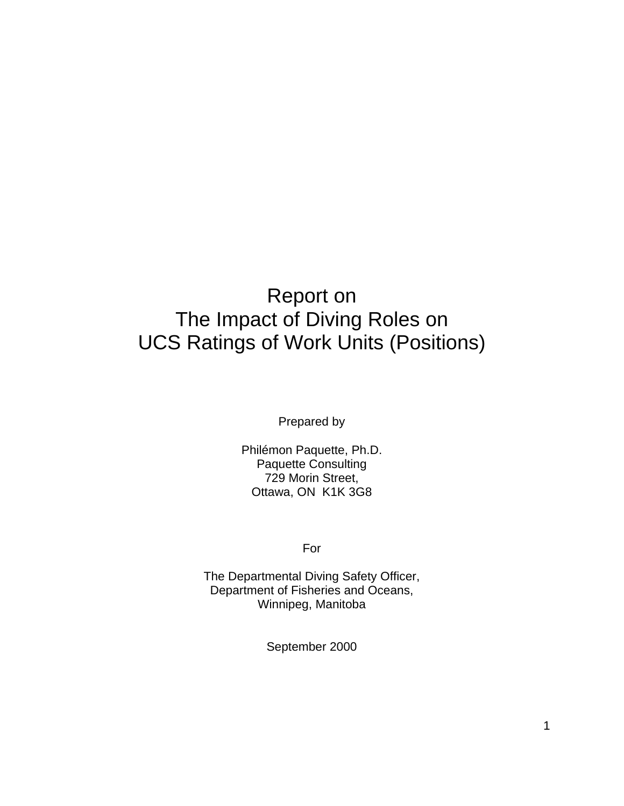# Report on The Impact of Diving Roles on UCS Ratings of Work Units (Positions)

Prepared by

Philémon Paquette, Ph.D. Paquette Consulting 729 Morin Street, Ottawa, ON K1K 3G8

For

The Departmental Diving Safety Officer, Department of Fisheries and Oceans, Winnipeg, Manitoba

September 2000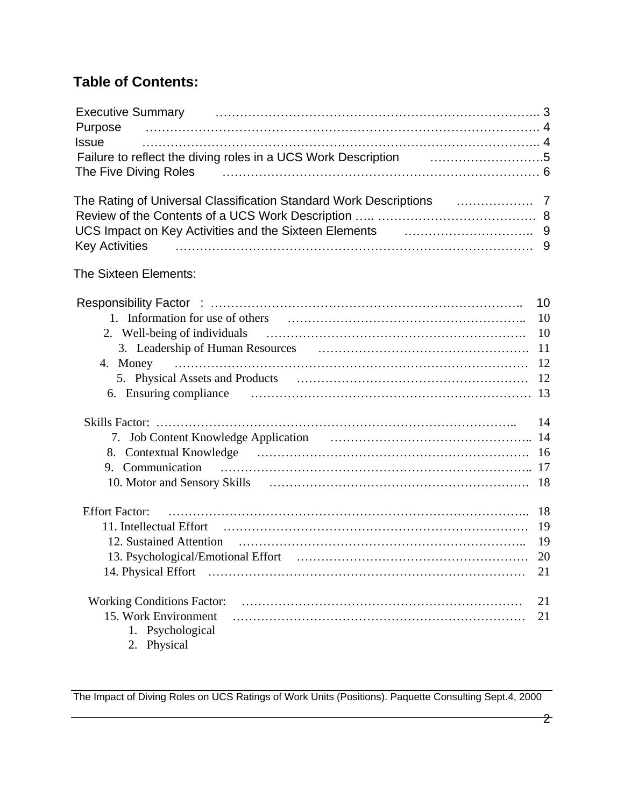# **Table of Contents:**

| Executive Summary Financial Communications and Security 3                                                            |    |
|----------------------------------------------------------------------------------------------------------------------|----|
|                                                                                                                      |    |
| <b>Issue</b>                                                                                                         |    |
| Failure to reflect the diving roles in a UCS Work Description <b>Fig. 1.1.1.1.1.1.1.1.1.1.1.1.1.1.1.5</b>            |    |
| The Five Diving Roles <b>contained a contract the Street Street August</b> 5                                         |    |
| The Rating of Universal Classification Standard Work Descriptions <b>Fig. 1. 19. 19. 19. 19. 19. 19. 19. 19. 1</b> 7 |    |
|                                                                                                                      |    |
|                                                                                                                      |    |
|                                                                                                                      |    |
|                                                                                                                      |    |
| The Sixteen Elements:                                                                                                |    |
|                                                                                                                      | 10 |
|                                                                                                                      | 10 |
|                                                                                                                      |    |
|                                                                                                                      |    |
|                                                                                                                      |    |
|                                                                                                                      |    |
|                                                                                                                      |    |
|                                                                                                                      |    |
|                                                                                                                      |    |
|                                                                                                                      |    |
|                                                                                                                      |    |
|                                                                                                                      |    |
|                                                                                                                      |    |
|                                                                                                                      |    |
|                                                                                                                      |    |
|                                                                                                                      |    |
|                                                                                                                      | 20 |
|                                                                                                                      | 21 |
| <b>Working Conditions Factor:</b>                                                                                    | 21 |
| 15. Work Environment                                                                                                 | 21 |
| 1. Psychological                                                                                                     |    |
| 2. Physical                                                                                                          |    |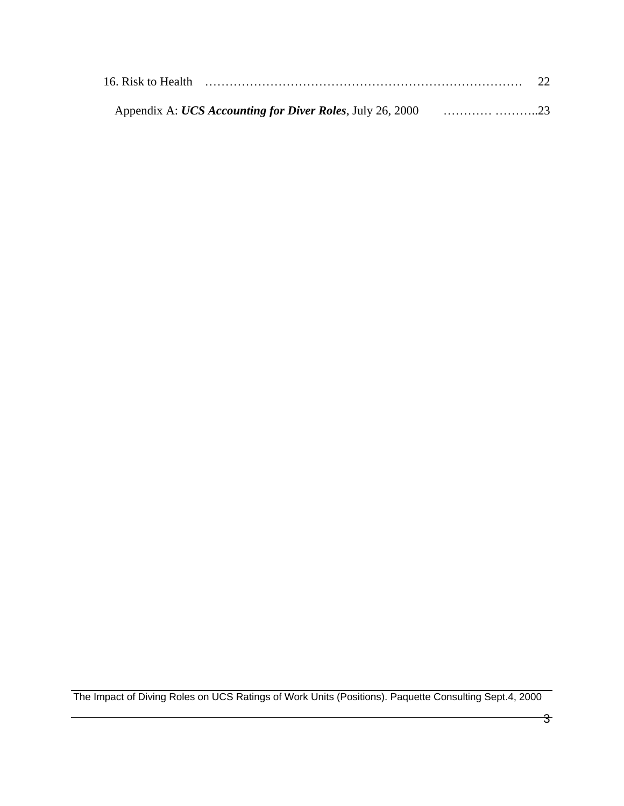|  | 22 |
|--|----|
|  |    |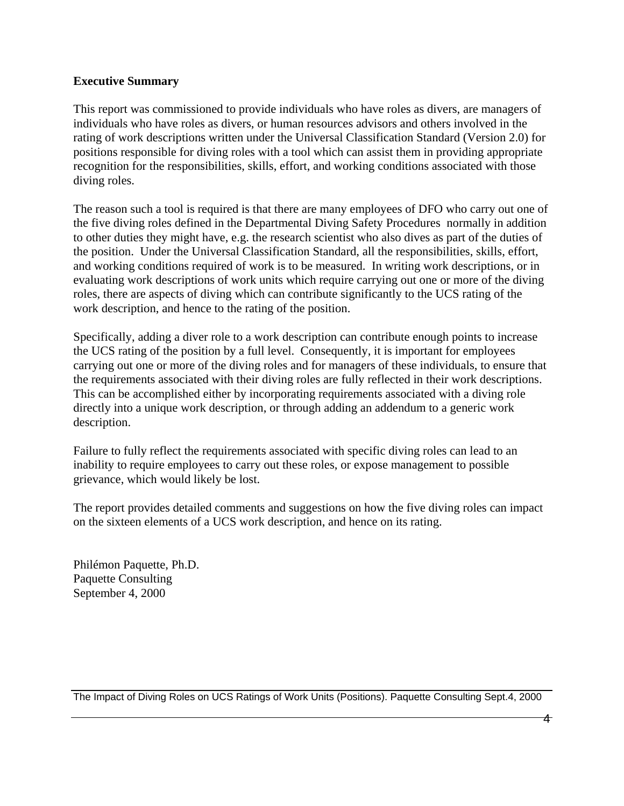#### **Executive Summary**

This report was commissioned to provide individuals who have roles as divers, are managers of individuals who have roles as divers, or human resources advisors and others involved in the rating of work descriptions written under the Universal Classification Standard (Version 2.0) for positions responsible for diving roles with a tool which can assist them in providing appropriate recognition for the responsibilities, skills, effort, and working conditions associated with those diving roles.

The reason such a tool is required is that there are many employees of DFO who carry out one of the five diving roles defined in the Departmental Diving Safety Procedures normally in addition to other duties they might have, e.g. the research scientist who also dives as part of the duties of the position. Under the Universal Classification Standard, all the responsibilities, skills, effort, and working conditions required of work is to be measured. In writing work descriptions, or in evaluating work descriptions of work units which require carrying out one or more of the diving roles, there are aspects of diving which can contribute significantly to the UCS rating of the work description, and hence to the rating of the position.

Specifically, adding a diver role to a work description can contribute enough points to increase the UCS rating of the position by a full level. Consequently, it is important for employees carrying out one or more of the diving roles and for managers of these individuals, to ensure that the requirements associated with their diving roles are fully reflected in their work descriptions. This can be accomplished either by incorporating requirements associated with a diving role directly into a unique work description, or through adding an addendum to a generic work description.

Failure to fully reflect the requirements associated with specific diving roles can lead to an inability to require employees to carry out these roles, or expose management to possible grievance, which would likely be lost.

The report provides detailed comments and suggestions on how the five diving roles can impact on the sixteen elements of a UCS work description, and hence on its rating.

Philémon Paquette, Ph.D. Paquette Consulting September 4, 2000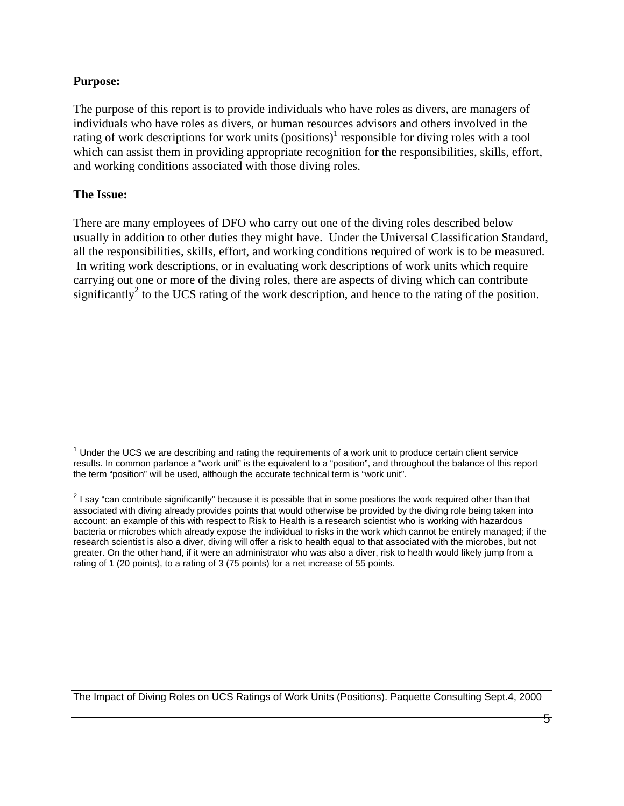#### **Purpose:**

The purpose of this report is to provide individuals who have roles as divers, are managers of individuals who have roles as divers, or human resources advisors and others involved in the rating of work descriptions for work units  $(positions)^1$  responsible for diving roles with a tool which can assist them in providing appropriate recognition for the responsibilities, skills, effort, and working conditions associated with those diving roles.

#### **The Issue:**

 $\overline{a}$ 

There are many employees of DFO who carry out one of the diving roles described below usually in addition to other duties they might have. Under the Universal Classification Standard, all the responsibilities, skills, effort, and working conditions required of work is to be measured. In writing work descriptions, or in evaluating work descriptions of work units which require carrying out one or more of the diving roles, there are aspects of diving which can contribute significantly<sup>2</sup> to the UCS rating of the work description, and hence to the rating of the position.

 $1$  Under the UCS we are describing and rating the requirements of a work unit to produce certain client service results. In common parlance a "work unit" is the equivalent to a "position", and throughout the balance of this report the term "position" will be used, although the accurate technical term is "work unit".

 $2$  I sav "can contribute significantly" because it is possible that in some positions the work required other than that associated with diving already provides points that would otherwise be provided by the diving role being taken into account: an example of this with respect to Risk to Health is a research scientist who is working with hazardous bacteria or microbes which already expose the individual to risks in the work which cannot be entirely managed; if the research scientist is also a diver, diving will offer a risk to health equal to that associated with the microbes, but not greater. On the other hand, if it were an administrator who was also a diver, risk to health would likely jump from a rating of 1 (20 points), to a rating of 3 (75 points) for a net increase of 55 points.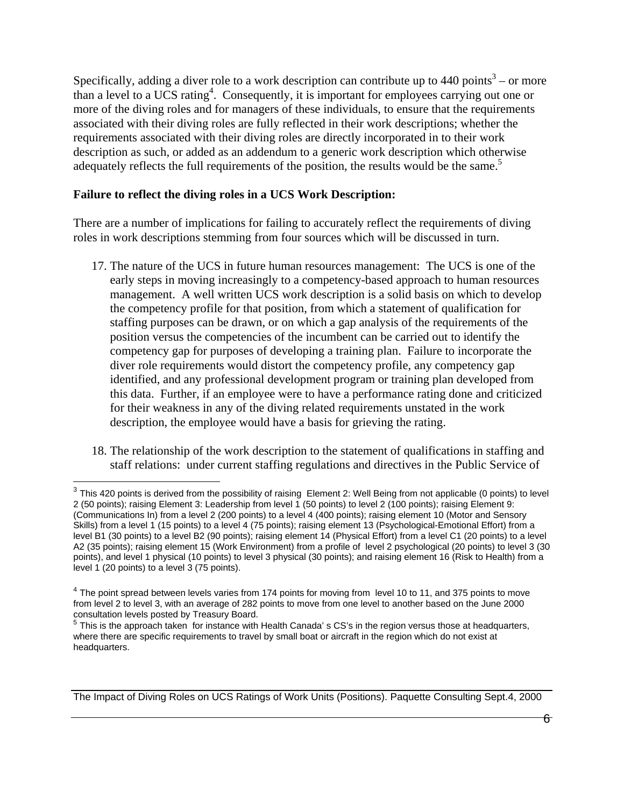Specifically, adding a diver role to a work description can contribute up to  $440$  points<sup>3</sup> – or more than a level to a UCS rating<sup>4</sup>. Consequently, it is important for employees carrying out one or more of the diving roles and for managers of these individuals, to ensure that the requirements associated with their diving roles are fully reflected in their work descriptions; whether the requirements associated with their diving roles are directly incorporated in to their work description as such, or added as an addendum to a generic work description which otherwise adequately reflects the full requirements of the position, the results would be the same.<sup>5</sup>

#### **Failure to reflect the diving roles in a UCS Work Description:**

1

There are a number of implications for failing to accurately reflect the requirements of diving roles in work descriptions stemming from four sources which will be discussed in turn.

- 17. The nature of the UCS in future human resources management: The UCS is one of the early steps in moving increasingly to a competency-based approach to human resources management. A well written UCS work description is a solid basis on which to develop the competency profile for that position, from which a statement of qualification for staffing purposes can be drawn, or on which a gap analysis of the requirements of the position versus the competencies of the incumbent can be carried out to identify the competency gap for purposes of developing a training plan. Failure to incorporate the diver role requirements would distort the competency profile, any competency gap identified, and any professional development program or training plan developed from this data. Further, if an employee were to have a performance rating done and criticized for their weakness in any of the diving related requirements unstated in the work description, the employee would have a basis for grieving the rating.
- 18. The relationship of the work description to the statement of qualifications in staffing and staff relations: under current staffing regulations and directives in the Public Service of

 $3$  This 420 points is derived from the possibility of raising Element 2: Well Being from not applicable (0 points) to level 2 (50 points); raising Element 3: Leadership from level 1 (50 points) to level 2 (100 points); raising Element 9: (Communications In) from a level 2 (200 points) to a level 4 (400 points); raising element 10 (Motor and Sensory Skills) from a level 1 (15 points) to a level 4 (75 points); raising element 13 (Psychological-Emotional Effort) from a level B1 (30 points) to a level B2 (90 points); raising element 14 (Physical Effort) from a level C1 (20 points) to a level A2 (35 points); raising element 15 (Work Environment) from a profile of level 2 psychological (20 points) to level 3 (30 points), and level 1 physical (10 points) to level 3 physical (30 points); and raising element 16 (Risk to Health) from a level 1 (20 points) to a level 3 (75 points).

<sup>&</sup>lt;sup>4</sup> The point spread between levels varies from 174 points for moving from level 10 to 11, and 375 points to move from level 2 to level 3, with an average of 282 points to move from one level to another based on the June 2000 consultation levels posted by Treasury Board.

<sup>&</sup>lt;sup>5</sup> This is the approach taken for instance with Health Canada's CS's in the region versus those at headquarters, where there are specific requirements to travel by small boat or aircraft in the region which do not exist at headquarters.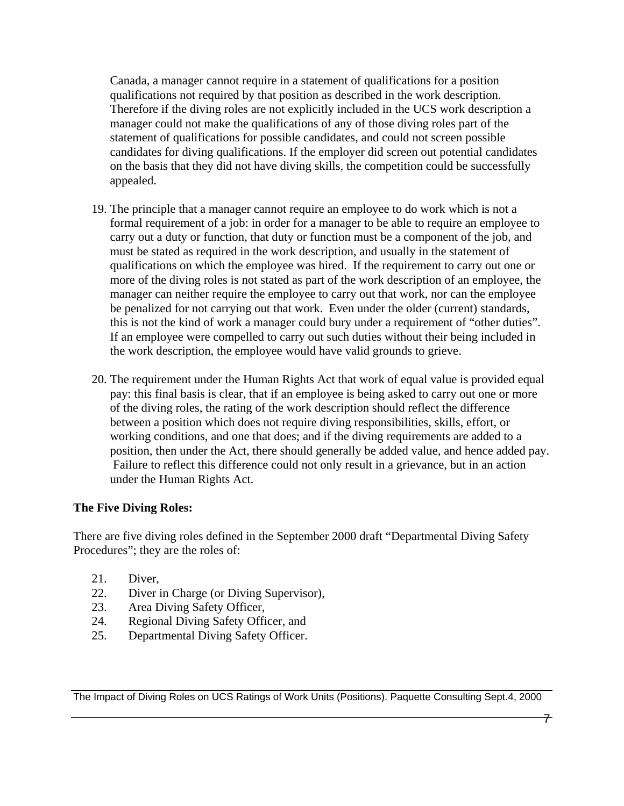Canada, a manager cannot require in a statement of qualifications for a position qualifications not required by that position as described in the work description. Therefore if the diving roles are not explicitly included in the UCS work description a manager could not make the qualifications of any of those diving roles part of the statement of qualifications for possible candidates, and could not screen possible candidates for diving qualifications. If the employer did screen out potential candidates on the basis that they did not have diving skills, the competition could be successfully appealed.

- 19. The principle that a manager cannot require an employee to do work which is not a formal requirement of a job: in order for a manager to be able to require an employee to carry out a duty or function, that duty or function must be a component of the job, and must be stated as required in the work description, and usually in the statement of qualifications on which the employee was hired. If the requirement to carry out one or more of the diving roles is not stated as part of the work description of an employee, the manager can neither require the employee to carry out that work, nor can the employee be penalized for not carrying out that work. Even under the older (current) standards, this is not the kind of work a manager could bury under a requirement of "other duties". If an employee were compelled to carry out such duties without their being included in the work description, the employee would have valid grounds to grieve.
- 20. The requirement under the Human Rights Act that work of equal value is provided equal pay: this final basis is clear, that if an employee is being asked to carry out one or more of the diving roles, the rating of the work description should reflect the difference between a position which does not require diving responsibilities, skills, effort, or working conditions, and one that does; and if the diving requirements are added to a position, then under the Act, there should generally be added value, and hence added pay. Failure to reflect this difference could not only result in a grievance, but in an action under the Human Rights Act.

#### **The Five Diving Roles:**

There are five diving roles defined in the September 2000 draft "Departmental Diving Safety Procedures"; they are the roles of:

- 21. Diver,
- 22. Diver in Charge (or Diving Supervisor),
- 23. Area Diving Safety Officer,
- 24. Regional Diving Safety Officer, and
- 25. Departmental Diving Safety Officer.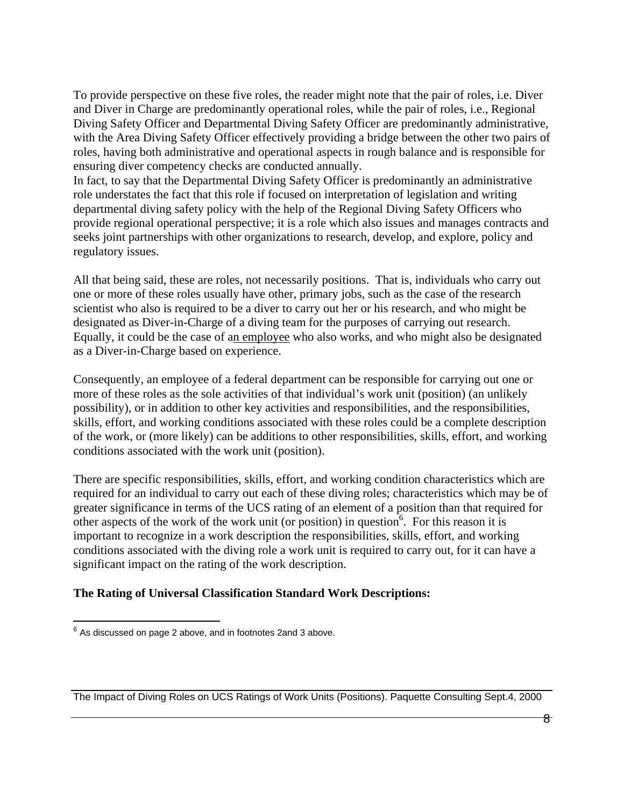To provide perspective on these five roles, the reader might note that the pair of roles, i.e. Diver and Diver in Charge are predominantly operational roles, while the pair of roles, i.e., Regional Diving Safety Officer and Departmental Diving Safety Officer are predominantly administrative, with the Area Diving Safety Officer effectively providing a bridge between the other two pairs of roles, having both administrative and operational aspects in rough balance and is responsible for ensuring diver competency checks are conducted annually.

In fact, to say that the Departmental Diving Safety Officer is predominantly an administrative role understates the fact that this role if focused on interpretation of legislation and writing departmental diving safety policy with the help of the Regional Diving Safety Officers who provide regional operational perspective; it is a role which also issues and manages contracts and seeks joint partnerships with other organizations to research, develop, and explore, policy and regulatory issues.

All that being said, these are roles, not necessarily positions. That is, individuals who carry out one or more of these roles usually have other, primary jobs, such as the case of the research scientist who also is required to be a diver to carry out her or his research, and who might be designated as Diver-in-Charge of a diving team for the purposes of carrying out research. Equally, it could be the case of an employee who also works, and who might also be designated as a Diver-in-Charge based on experience.

Consequently, an employee of a federal department can be responsible for carrying out one or more of these roles as the sole activities of that individual's work unit (position) (an unlikely possibility), or in addition to other key activities and responsibilities, and the responsibilities, skills, effort, and working conditions associated with these roles could be a complete description of the work, or (more likely) can be additions to other responsibilities, skills, effort, and working conditions associated with the work unit (position).

There are specific responsibilities, skills, effort, and working condition characteristics which are required for an individual to carry out each of these diving roles; characteristics which may be of greater significance in terms of the UCS rating of an element of a position than that required for other aspects of the work of the work unit (or position) in question  $6$ . For this reason it is important to recognize in a work description the responsibilities, skills, effort, and working conditions associated with the diving role a work unit is required to carry out, for it can have a significant impact on the rating of the work description.

#### **The Rating of Universal Classification Standard Work Descriptions:**

 $\overline{a}$ 

 $6$  As discussed on page 2 above, and in footnotes 2and 3 above.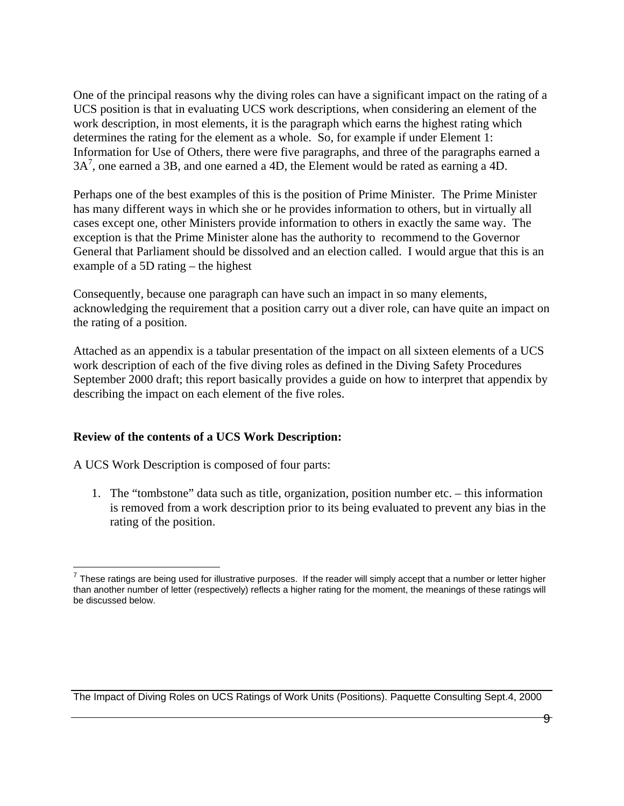One of the principal reasons why the diving roles can have a significant impact on the rating of a UCS position is that in evaluating UCS work descriptions, when considering an element of the work description, in most elements, it is the paragraph which earns the highest rating which determines the rating for the element as a whole. So, for example if under Element 1: Information for Use of Others, there were five paragraphs, and three of the paragraphs earned a  $3A<sup>7</sup>$ , one earned a 3B, and one earned a 4D, the Element would be rated as earning a 4D.

Perhaps one of the best examples of this is the position of Prime Minister. The Prime Minister has many different ways in which she or he provides information to others, but in virtually all cases except one, other Ministers provide information to others in exactly the same way. The exception is that the Prime Minister alone has the authority to recommend to the Governor General that Parliament should be dissolved and an election called. I would argue that this is an example of a 5D rating – the highest

Consequently, because one paragraph can have such an impact in so many elements, acknowledging the requirement that a position carry out a diver role, can have quite an impact on the rating of a position.

Attached as an appendix is a tabular presentation of the impact on all sixteen elements of a UCS work description of each of the five diving roles as defined in the Diving Safety Procedures September 2000 draft; this report basically provides a guide on how to interpret that appendix by describing the impact on each element of the five roles.

#### **Review of the contents of a UCS Work Description:**

A UCS Work Description is composed of four parts:

1

1. The "tombstone" data such as title, organization, position number etc. – this information is removed from a work description prior to its being evaluated to prevent any bias in the rating of the position.

 $<sup>7</sup>$  These ratings are being used for illustrative purposes. If the reader will simply accept that a number or letter higher</sup> than another number of letter (respectively) reflects a higher rating for the moment, the meanings of these ratings will be discussed below.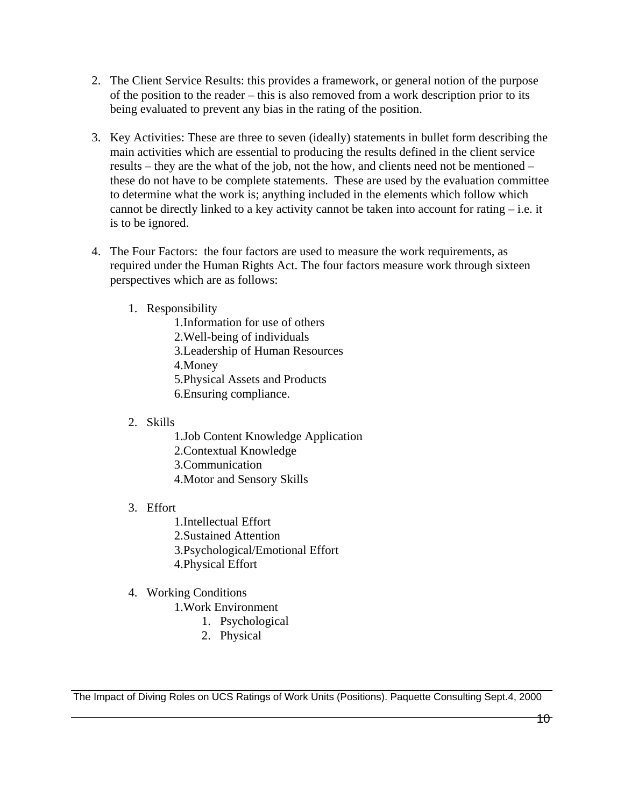- 2. The Client Service Results: this provides a framework, or general notion of the purpose of the position to the reader – this is also removed from a work description prior to its being evaluated to prevent any bias in the rating of the position.
- 3. Key Activities: These are three to seven (ideally) statements in bullet form describing the main activities which are essential to producing the results defined in the client service results – they are the what of the job, not the how, and clients need not be mentioned – these do not have to be complete statements. These are used by the evaluation committee to determine what the work is; anything included in the elements which follow which cannot be directly linked to a key activity cannot be taken into account for rating – i.e. it is to be ignored.
- 4. The Four Factors: the four factors are used to measure the work requirements, as required under the Human Rights Act. The four factors measure work through sixteen perspectives which are as follows:
	- 1. Responsibility
		- 1.Information for use of others 2.Well-being of individuals 3.Leadership of Human Resources 4.Money 5.Physical Assets and Products 6.Ensuring compliance.
	- 2. Skills
		- 1.Job Content Knowledge Application 2.Contextual Knowledge 3.Communication 4.Motor and Sensory Skills
	- 3. Effort
		- 1.Intellectual Effort 2.Sustained Attention 3.Psychological/Emotional Effort 4.Physical Effort

# 4. Working Conditions

- 1.Work Environment
	- 1. Psychological
	- 2. Physical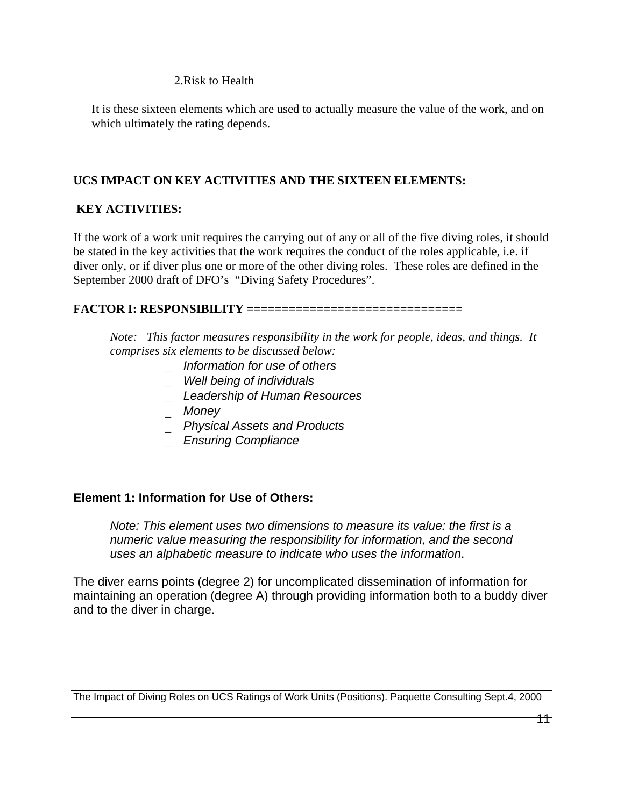#### 2.Risk to Health

It is these sixteen elements which are used to actually measure the value of the work, and on which ultimately the rating depends.

#### **UCS IMPACT ON KEY ACTIVITIES AND THE SIXTEEN ELEMENTS:**

#### **KEY ACTIVITIES:**

If the work of a work unit requires the carrying out of any or all of the five diving roles, it should be stated in the key activities that the work requires the conduct of the roles applicable, i.e. if diver only, or if diver plus one or more of the other diving roles. These roles are defined in the September 2000 draft of DFO's "Diving Safety Procedures".

## **FACTOR I: RESPONSIBILITY ===============================**

*Note: This factor measures responsibility in the work for people, ideas, and things. It comprises six elements to be discussed below:* 

- \_ *Information for use of others*
- \_ *Well being of individuals*
- \_ *Leadership of Human Resources*
- \_ *Money*
- \_ *Physical Assets and Products*
- \_ *Ensuring Compliance*

# **Element 1: Information for Use of Others:**

*Note: This element uses two dimensions to measure its value: the first is a numeric value measuring the responsibility for information, and the second uses an alphabetic measure to indicate who uses the information*.

The diver earns points (degree 2) for uncomplicated dissemination of information for maintaining an operation (degree A) through providing information both to a buddy diver and to the diver in charge.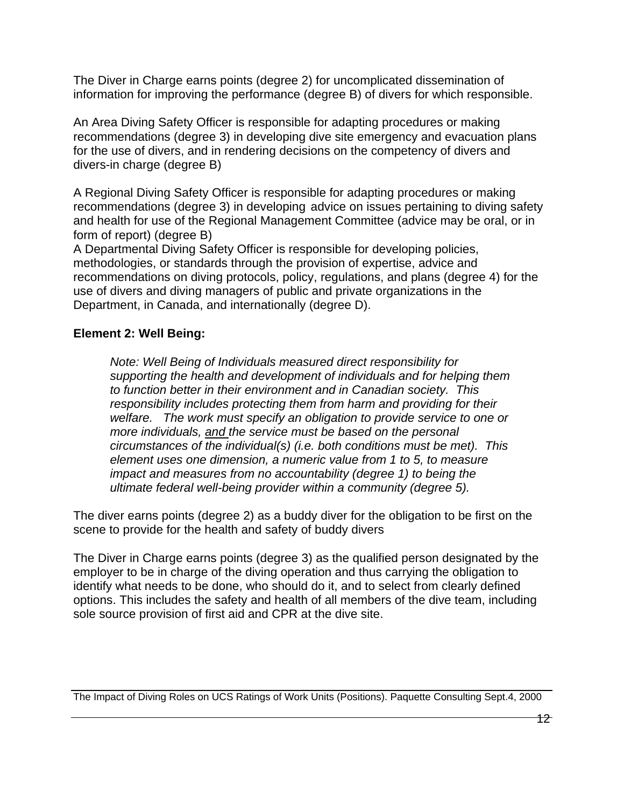The Diver in Charge earns points (degree 2) for uncomplicated dissemination of information for improving the performance (degree B) of divers for which responsible.

An Area Diving Safety Officer is responsible for adapting procedures or making recommendations (degree 3) in developing dive site emergency and evacuation plans for the use of divers, and in rendering decisions on the competency of divers and divers-in charge (degree B)

A Regional Diving Safety Officer is responsible for adapting procedures or making recommendations (degree 3) in developing advice on issues pertaining to diving safety and health for use of the Regional Management Committee (advice may be oral, or in form of report) (degree B)

A Departmental Diving Safety Officer is responsible for developing policies, methodologies, or standards through the provision of expertise, advice and recommendations on diving protocols, policy, regulations, and plans (degree 4) for the use of divers and diving managers of public and private organizations in the Department, in Canada, and internationally (degree D).

# **Element 2: Well Being:**

*Note: Well Being of Individuals measured direct responsibility for supporting the health and development of individuals and for helping them to function better in their environment and in Canadian society. This responsibility includes protecting them from harm and providing for their welfare. The work must specify an obligation to provide service to one or more individuals, and the service must be based on the personal circumstances of the individual(s) (i.e. both conditions must be met). This element uses one dimension, a numeric value from 1 to 5, to measure impact and measures from no accountability (degree 1) to being the ultimate federal well-being provider within a community (degree 5).* 

The diver earns points (degree 2) as a buddy diver for the obligation to be first on the scene to provide for the health and safety of buddy divers

The Diver in Charge earns points (degree 3) as the qualified person designated by the employer to be in charge of the diving operation and thus carrying the obligation to identify what needs to be done, who should do it, and to select from clearly defined options. This includes the safety and health of all members of the dive team, including sole source provision of first aid and CPR at the dive site.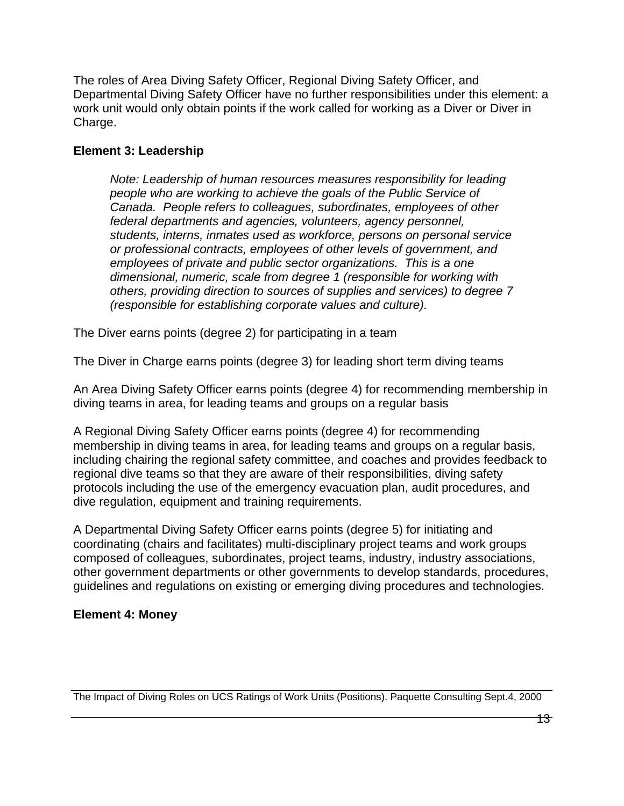The roles of Area Diving Safety Officer, Regional Diving Safety Officer, and Departmental Diving Safety Officer have no further responsibilities under this element: a work unit would only obtain points if the work called for working as a Diver or Diver in Charge.

# **Element 3: Leadership**

*Note: Leadership of human resources measures responsibility for leading people who are working to achieve the goals of the Public Service of Canada. People refers to colleagues, subordinates, employees of other federal departments and agencies, volunteers, agency personnel, students, interns, inmates used as workforce, persons on personal service or professional contracts, employees of other levels of government, and employees of private and public sector organizations. This is a one dimensional, numeric, scale from degree 1 (responsible for working with others, providing direction to sources of supplies and services) to degree 7 (responsible for establishing corporate values and culture).* 

The Diver earns points (degree 2) for participating in a team

The Diver in Charge earns points (degree 3) for leading short term diving teams

An Area Diving Safety Officer earns points (degree 4) for recommending membership in diving teams in area, for leading teams and groups on a regular basis

A Regional Diving Safety Officer earns points (degree 4) for recommending membership in diving teams in area, for leading teams and groups on a regular basis, including chairing the regional safety committee, and coaches and provides feedback to regional dive teams so that they are aware of their responsibilities, diving safety protocols including the use of the emergency evacuation plan, audit procedures, and dive regulation, equipment and training requirements.

A Departmental Diving Safety Officer earns points (degree 5) for initiating and coordinating (chairs and facilitates) multi-disciplinary project teams and work groups composed of colleagues, subordinates, project teams, industry, industry associations, other government departments or other governments to develop standards, procedures, guidelines and regulations on existing or emerging diving procedures and technologies.

# **Element 4: Money**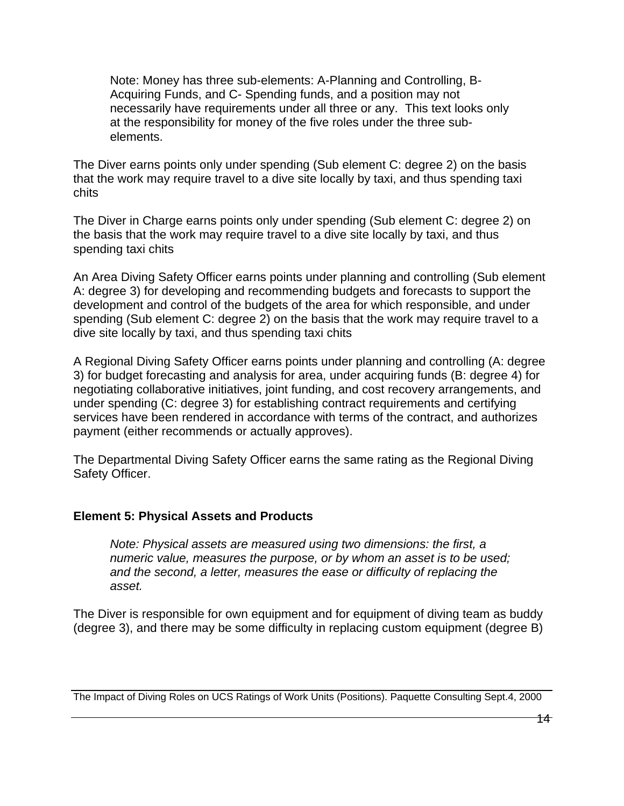Note: Money has three sub-elements: A-Planning and Controlling, B-Acquiring Funds, and C- Spending funds, and a position may not necessarily have requirements under all three or any. This text looks only at the responsibility for money of the five roles under the three subelements.

The Diver earns points only under spending (Sub element C: degree 2) on the basis that the work may require travel to a dive site locally by taxi, and thus spending taxi chits

The Diver in Charge earns points only under spending (Sub element C: degree 2) on the basis that the work may require travel to a dive site locally by taxi, and thus spending taxi chits

An Area Diving Safety Officer earns points under planning and controlling (Sub element A: degree 3) for developing and recommending budgets and forecasts to support the development and control of the budgets of the area for which responsible, and under spending (Sub element C: degree 2) on the basis that the work may require travel to a dive site locally by taxi, and thus spending taxi chits

A Regional Diving Safety Officer earns points under planning and controlling (A: degree 3) for budget forecasting and analysis for area, under acquiring funds (B: degree 4) for negotiating collaborative initiatives, joint funding, and cost recovery arrangements, and under spending (C: degree 3) for establishing contract requirements and certifying services have been rendered in accordance with terms of the contract, and authorizes payment (either recommends or actually approves).

The Departmental Diving Safety Officer earns the same rating as the Regional Diving Safety Officer.

#### **Element 5: Physical Assets and Products**

*Note: Physical assets are measured using two dimensions: the first, a numeric value, measures the purpose, or by whom an asset is to be used; and the second, a letter, measures the ease or difficulty of replacing the asset.* 

The Diver is responsible for own equipment and for equipment of diving team as buddy (degree 3), and there may be some difficulty in replacing custom equipment (degree B)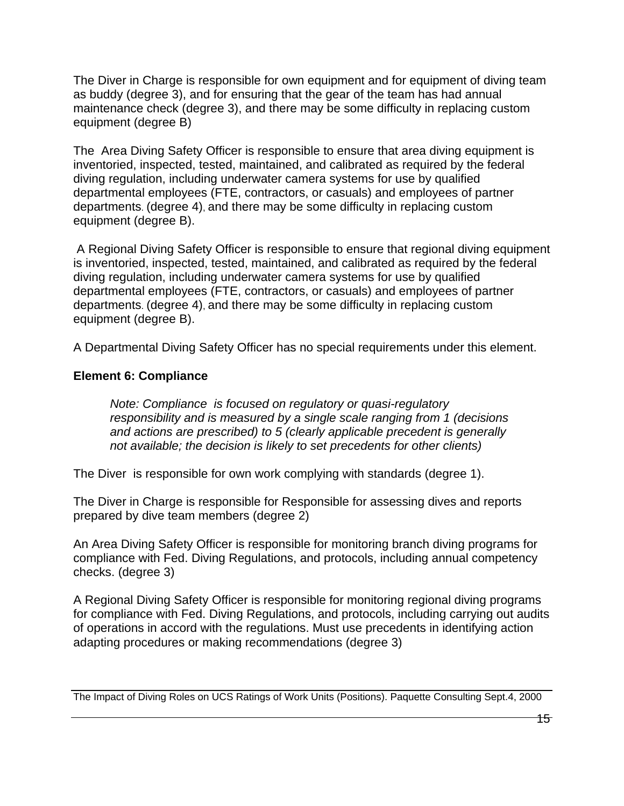The Diver in Charge is responsible for own equipment and for equipment of diving team as buddy (degree 3), and for ensuring that the gear of the team has had annual maintenance check (degree 3), and there may be some difficulty in replacing custom equipment (degree B)

The Area Diving Safety Officer is responsible to ensure that area diving equipment is inventoried, inspected, tested, maintained, and calibrated as required by the federal diving regulation, including underwater camera systems for use by qualified departmental employees (FTE, contractors, or casuals) and employees of partner departments. (degree 4), and there may be some difficulty in replacing custom equipment (degree B).

 A Regional Diving Safety Officer is responsible to ensure that regional diving equipment is inventoried, inspected, tested, maintained, and calibrated as required by the federal diving regulation, including underwater camera systems for use by qualified departmental employees (FTE, contractors, or casuals) and employees of partner departments. (degree 4), and there may be some difficulty in replacing custom equipment (degree B).

A Departmental Diving Safety Officer has no special requirements under this element.

## **Element 6: Compliance**

*Note: Compliance is focused on regulatory or quasi-regulatory responsibility and is measured by a single scale ranging from 1 (decisions and actions are prescribed) to 5 (clearly applicable precedent is generally not available; the decision is likely to set precedents for other clients)* 

The Diver is responsible for own work complying with standards (degree 1).

The Diver in Charge is responsible for Responsible for assessing dives and reports prepared by dive team members (degree 2)

An Area Diving Safety Officer is responsible for monitoring branch diving programs for compliance with Fed. Diving Regulations, and protocols, including annual competency checks. (degree 3)

A Regional Diving Safety Officer is responsible for monitoring regional diving programs for compliance with Fed. Diving Regulations, and protocols, including carrying out audits of operations in accord with the regulations. Must use precedents in identifying action adapting procedures or making recommendations (degree 3)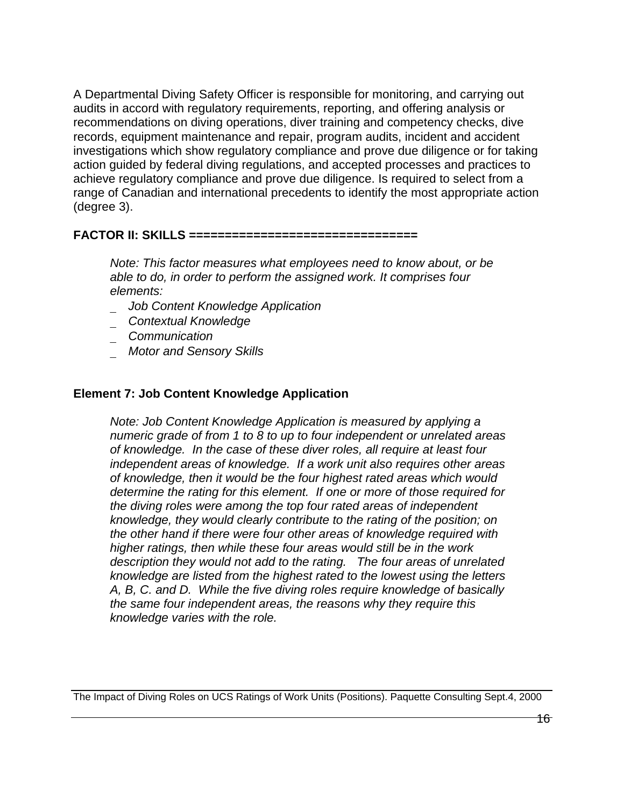A Departmental Diving Safety Officer is responsible for monitoring, and carrying out audits in accord with regulatory requirements, reporting, and offering analysis or recommendations on diving operations, diver training and competency checks, dive records, equipment maintenance and repair, program audits, incident and accident investigations which show regulatory compliance and prove due diligence or for taking action guided by federal diving regulations, and accepted processes and practices to achieve regulatory compliance and prove due diligence. Is required to select from a range of Canadian and international precedents to identify the most appropriate action (degree 3).

#### **FACTOR II: SKILLS ================================**

*Note: This factor measures what employees need to know about, or be able to do, in order to perform the assigned work. It comprises four elements:* 

- \_ *Job Content Knowledge Application*
- \_ *Contextual Knowledge*
- \_ *Communication*
- \_ *Motor and Sensory Skills*

#### **Element 7: Job Content Knowledge Application**

*Note: Job Content Knowledge Application is measured by applying a numeric grade of from 1 to 8 to up to four independent or unrelated areas of knowledge. In the case of these diver roles, all require at least four independent areas of knowledge. If a work unit also requires other areas of knowledge, then it would be the four highest rated areas which would determine the rating for this element. If one or more of those required for the diving roles were among the top four rated areas of independent knowledge, they would clearly contribute to the rating of the position; on the other hand if there were four other areas of knowledge required with higher ratings, then while these four areas would still be in the work description they would not add to the rating. The four areas of unrelated knowledge are listed from the highest rated to the lowest using the letters A, B, C. and D. While the five diving roles require knowledge of basically the same four independent areas, the reasons why they require this knowledge varies with the role.*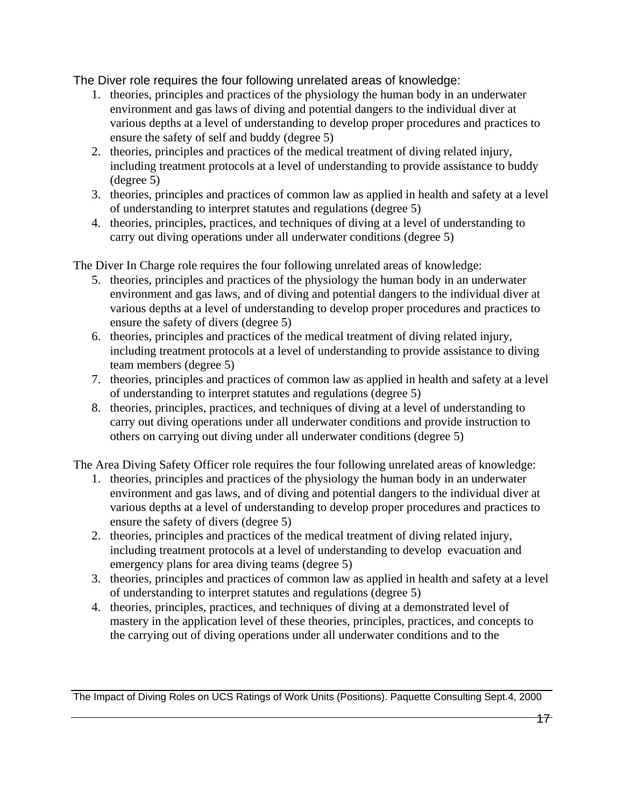The Diver role requires the four following unrelated areas of knowledge:

- 1. theories, principles and practices of the physiology the human body in an underwater environment and gas laws of diving and potential dangers to the individual diver at various depths at a level of understanding to develop proper procedures and practices to ensure the safety of self and buddy (degree 5)
- 2. theories, principles and practices of the medical treatment of diving related injury, including treatment protocols at a level of understanding to provide assistance to buddy (degree 5)
- 3. theories, principles and practices of common law as applied in health and safety at a level of understanding to interpret statutes and regulations (degree 5)
- 4. theories, principles, practices, and techniques of diving at a level of understanding to carry out diving operations under all underwater conditions (degree 5)

The Diver In Charge role requires the four following unrelated areas of knowledge:

- 5. theories, principles and practices of the physiology the human body in an underwater environment and gas laws, and of diving and potential dangers to the individual diver at various depths at a level of understanding to develop proper procedures and practices to ensure the safety of divers (degree 5)
- 6. theories, principles and practices of the medical treatment of diving related injury, including treatment protocols at a level of understanding to provide assistance to diving team members (degree 5)
- 7. theories, principles and practices of common law as applied in health and safety at a level of understanding to interpret statutes and regulations (degree 5)
- 8. theories, principles, practices, and techniques of diving at a level of understanding to carry out diving operations under all underwater conditions and provide instruction to others on carrying out diving under all underwater conditions (degree 5)

The Area Diving Safety Officer role requires the four following unrelated areas of knowledge:

- 1. theories, principles and practices of the physiology the human body in an underwater environment and gas laws, and of diving and potential dangers to the individual diver at various depths at a level of understanding to develop proper procedures and practices to ensure the safety of divers (degree 5)
- 2. theories, principles and practices of the medical treatment of diving related injury, including treatment protocols at a level of understanding to develop evacuation and emergency plans for area diving teams (degree 5)
- 3. theories, principles and practices of common law as applied in health and safety at a level of understanding to interpret statutes and regulations (degree 5)
- 4. theories, principles, practices, and techniques of diving at a demonstrated level of mastery in the application level of these theories, principles, practices, and concepts to the carrying out of diving operations under all underwater conditions and to the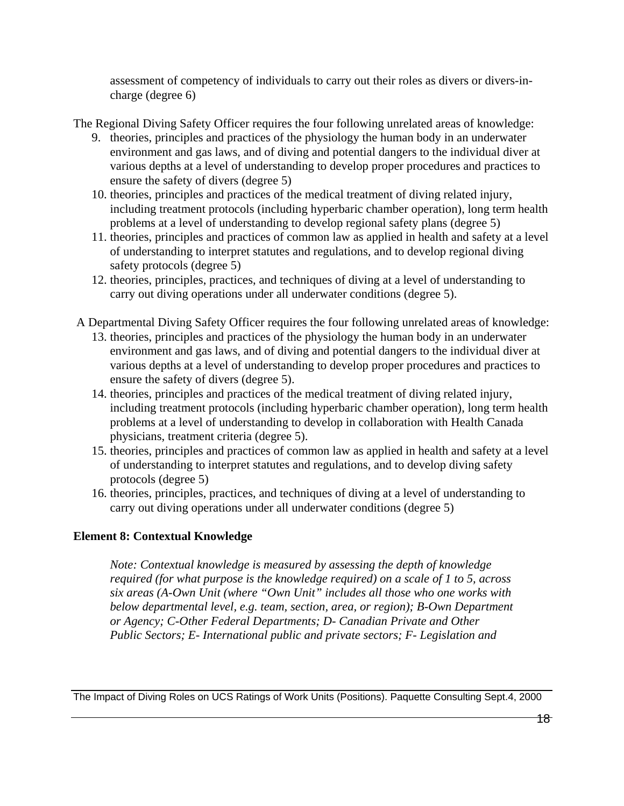assessment of competency of individuals to carry out their roles as divers or divers-incharge (degree 6)

The Regional Diving Safety Officer requires the four following unrelated areas of knowledge:

- 9. theories, principles and practices of the physiology the human body in an underwater environment and gas laws, and of diving and potential dangers to the individual diver at various depths at a level of understanding to develop proper procedures and practices to ensure the safety of divers (degree 5)
- 10. theories, principles and practices of the medical treatment of diving related injury, including treatment protocols (including hyperbaric chamber operation), long term health problems at a level of understanding to develop regional safety plans (degree 5)
- 11. theories, principles and practices of common law as applied in health and safety at a level of understanding to interpret statutes and regulations, and to develop regional diving safety protocols (degree 5)
- 12. theories, principles, practices, and techniques of diving at a level of understanding to carry out diving operations under all underwater conditions (degree 5).
- A Departmental Diving Safety Officer requires the four following unrelated areas of knowledge:
	- 13. theories, principles and practices of the physiology the human body in an underwater environment and gas laws, and of diving and potential dangers to the individual diver at various depths at a level of understanding to develop proper procedures and practices to ensure the safety of divers (degree 5).
	- 14. theories, principles and practices of the medical treatment of diving related injury, including treatment protocols (including hyperbaric chamber operation), long term health problems at a level of understanding to develop in collaboration with Health Canada physicians, treatment criteria (degree 5).
	- 15. theories, principles and practices of common law as applied in health and safety at a level of understanding to interpret statutes and regulations, and to develop diving safety protocols (degree 5)
	- 16. theories, principles, practices, and techniques of diving at a level of understanding to carry out diving operations under all underwater conditions (degree 5)

# **Element 8: Contextual Knowledge**

*Note: Contextual knowledge is measured by assessing the depth of knowledge required (for what purpose is the knowledge required) on a scale of 1 to 5, across six areas (A-Own Unit (where "Own Unit" includes all those who one works with below departmental level, e.g. team, section, area, or region); B-Own Department or Agency; C-Other Federal Departments; D- Canadian Private and Other Public Sectors; E- International public and private sectors; F- Legislation and*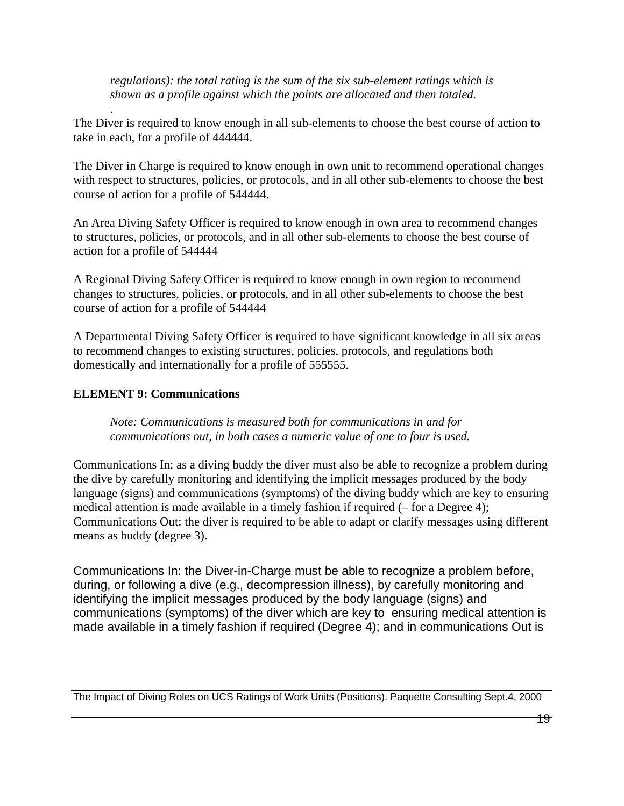*regulations): the total rating is the sum of the six sub-element ratings which is shown as a profile against which the points are allocated and then totaled.* 

The Diver is required to know enough in all sub-elements to choose the best course of action to take in each, for a profile of 444444.

The Diver in Charge is required to know enough in own unit to recommend operational changes with respect to structures, policies, or protocols, and in all other sub-elements to choose the best course of action for a profile of 544444.

An Area Diving Safety Officer is required to know enough in own area to recommend changes to structures, policies, or protocols, and in all other sub-elements to choose the best course of action for a profile of 544444

A Regional Diving Safety Officer is required to know enough in own region to recommend changes to structures, policies, or protocols, and in all other sub-elements to choose the best course of action for a profile of 544444

A Departmental Diving Safety Officer is required to have significant knowledge in all six areas to recommend changes to existing structures, policies, protocols, and regulations both domestically and internationally for a profile of 555555.

#### **ELEMENT 9: Communications**

.

*Note: Communications is measured both for communications in and for communications out, in both cases a numeric value of one to four is used.* 

Communications In: as a diving buddy the diver must also be able to recognize a problem during the dive by carefully monitoring and identifying the implicit messages produced by the body language (signs) and communications (symptoms) of the diving buddy which are key to ensuring medical attention is made available in a timely fashion if required (– for a Degree 4); Communications Out: the diver is required to be able to adapt or clarify messages using different means as buddy (degree 3).

Communications In: the Diver-in-Charge must be able to recognize a problem before, during, or following a dive (e.g., decompression illness), by carefully monitoring and identifying the implicit messages produced by the body language (signs) and communications (symptoms) of the diver which are key to ensuring medical attention is made available in a timely fashion if required (Degree 4); and in communications Out is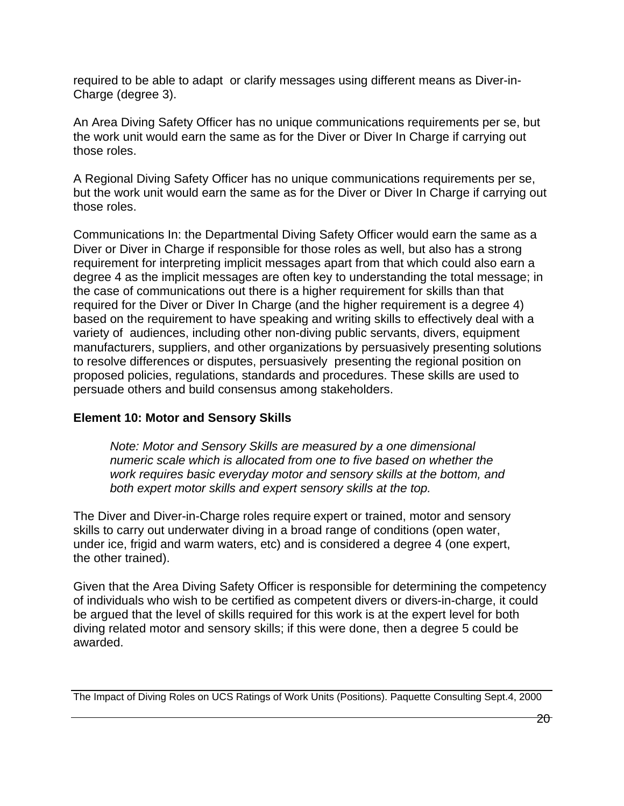required to be able to adapt or clarify messages using different means as Diver-in-Charge (degree 3).

An Area Diving Safety Officer has no unique communications requirements per se, but the work unit would earn the same as for the Diver or Diver In Charge if carrying out those roles.

A Regional Diving Safety Officer has no unique communications requirements per se, but the work unit would earn the same as for the Diver or Diver In Charge if carrying out those roles.

Communications In: the Departmental Diving Safety Officer would earn the same as a Diver or Diver in Charge if responsible for those roles as well, but also has a strong requirement for interpreting implicit messages apart from that which could also earn a degree 4 as the implicit messages are often key to understanding the total message; in the case of communications out there is a higher requirement for skills than that required for the Diver or Diver In Charge (and the higher requirement is a degree 4) based on the requirement to have speaking and writing skills to effectively deal with a variety of audiences, including other non-diving public servants, divers, equipment manufacturers, suppliers, and other organizations by persuasively presenting solutions to resolve differences or disputes, persuasively presenting the regional position on proposed policies, regulations, standards and procedures. These skills are used to persuade others and build consensus among stakeholders.

#### **Element 10: Motor and Sensory Skills**

*Note: Motor and Sensory Skills are measured by a one dimensional numeric scale which is allocated from one to five based on whether the work requires basic everyday motor and sensory skills at the bottom, and both expert motor skills and expert sensory skills at the top.* 

The Diver and Diver-in-Charge roles require expert or trained, motor and sensory skills to carry out underwater diving in a broad range of conditions (open water, under ice, frigid and warm waters, etc) and is considered a degree 4 (one expert, the other trained).

Given that the Area Diving Safety Officer is responsible for determining the competency of individuals who wish to be certified as competent divers or divers-in-charge, it could be argued that the level of skills required for this work is at the expert level for both diving related motor and sensory skills; if this were done, then a degree 5 could be awarded.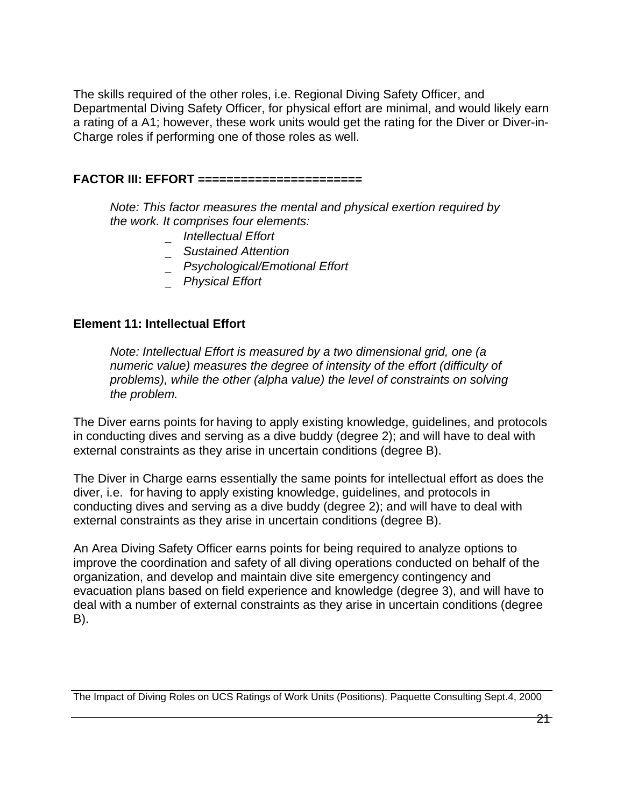The skills required of the other roles, i.e. Regional Diving Safety Officer, and Departmental Diving Safety Officer, for physical effort are minimal, and would likely earn a rating of a A1; however, these work units would get the rating for the Diver or Diver-in-Charge roles if performing one of those roles as well.

#### **FACTOR III: EFFORT =======================**

*Note: This factor measures the mental and physical exertion required by the work. It comprises four elements:* 

- \_ *Intellectual Effort*
- \_ *Sustained Attention*
- \_ *Psychological/Emotional Effort*
- \_ *Physical Effort*

#### **Element 11: Intellectual Effort**

*Note: Intellectual Effort is measured by a two dimensional grid, one (a numeric value) measures the degree of intensity of the effort (difficulty of problems), while the other (alpha value) the level of constraints on solving the problem.* 

The Diver earns points for having to apply existing knowledge, guidelines, and protocols in conducting dives and serving as a dive buddy (degree 2); and will have to deal with external constraints as they arise in uncertain conditions (degree B).

The Diver in Charge earns essentially the same points for intellectual effort as does the diver, i.e. for having to apply existing knowledge, guidelines, and protocols in conducting dives and serving as a dive buddy (degree 2); and will have to deal with external constraints as they arise in uncertain conditions (degree B).

An Area Diving Safety Officer earns points for being required to analyze options to improve the coordination and safety of all diving operations conducted on behalf of the organization, and develop and maintain dive site emergency contingency and evacuation plans based on field experience and knowledge (degree 3), and will have to deal with a number of external constraints as they arise in uncertain conditions (degree B).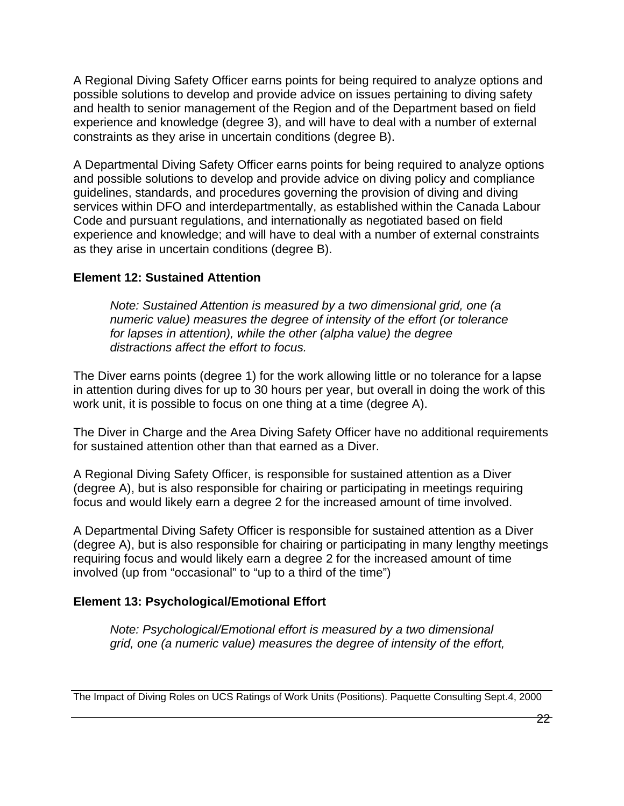A Regional Diving Safety Officer earns points for being required to analyze options and possible solutions to develop and provide advice on issues pertaining to diving safety and health to senior management of the Region and of the Department based on field experience and knowledge (degree 3), and will have to deal with a number of external constraints as they arise in uncertain conditions (degree B).

A Departmental Diving Safety Officer earns points for being required to analyze options and possible solutions to develop and provide advice on diving policy and compliance guidelines, standards, and procedures governing the provision of diving and diving services within DFO and interdepartmentally, as established within the Canada Labour Code and pursuant regulations, and internationally as negotiated based on field experience and knowledge; and will have to deal with a number of external constraints as they arise in uncertain conditions (degree B).

# **Element 12: Sustained Attention**

*Note: Sustained Attention is measured by a two dimensional grid, one (a numeric value) measures the degree of intensity of the effort (or tolerance for lapses in attention), while the other (alpha value) the degree distractions affect the effort to focus.* 

The Diver earns points (degree 1) for the work allowing little or no tolerance for a lapse in attention during dives for up to 30 hours per year, but overall in doing the work of this work unit, it is possible to focus on one thing at a time (degree A).

The Diver in Charge and the Area Diving Safety Officer have no additional requirements for sustained attention other than that earned as a Diver.

A Regional Diving Safety Officer, is responsible for sustained attention as a Diver (degree A), but is also responsible for chairing or participating in meetings requiring focus and would likely earn a degree 2 for the increased amount of time involved.

A Departmental Diving Safety Officer is responsible for sustained attention as a Diver (degree A), but is also responsible for chairing or participating in many lengthy meetings requiring focus and would likely earn a degree 2 for the increased amount of time involved (up from "occasional" to "up to a third of the time")

# **Element 13: Psychological/Emotional Effort**

*Note: Psychological/Emotional effort is measured by a two dimensional grid, one (a numeric value) measures the degree of intensity of the effort,*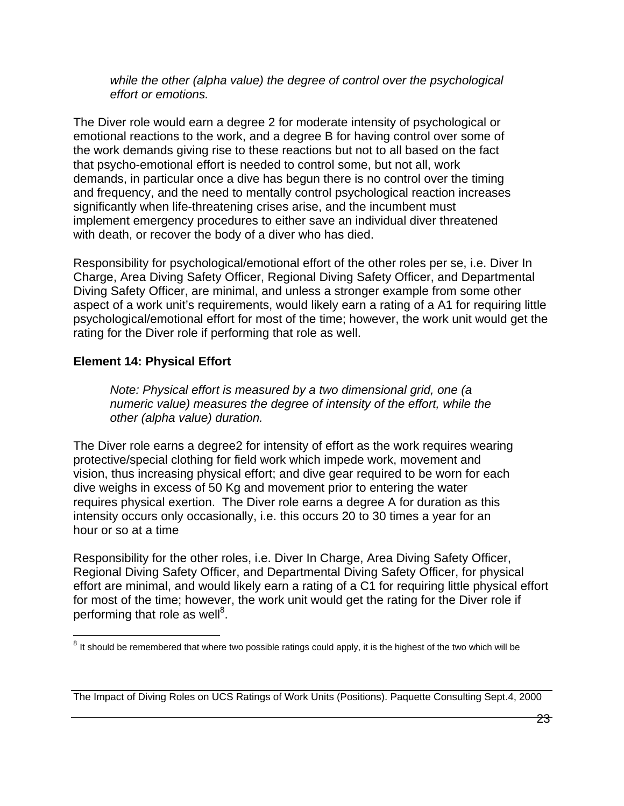*while the other (alpha value) the degree of control over the psychological effort or emotions.* 

The Diver role would earn a degree 2 for moderate intensity of psychological or emotional reactions to the work, and a degree B for having control over some of the work demands giving rise to these reactions but not to all based on the fact that psycho-emotional effort is needed to control some, but not all, work demands, in particular once a dive has begun there is no control over the timing and frequency, and the need to mentally control psychological reaction increases significantly when life-threatening crises arise, and the incumbent must implement emergency procedures to either save an individual diver threatened with death, or recover the body of a diver who has died.

Responsibility for psychological/emotional effort of the other roles per se, i.e. Diver In Charge, Area Diving Safety Officer, Regional Diving Safety Officer, and Departmental Diving Safety Officer, are minimal, and unless a stronger example from some other aspect of a work unit's requirements, would likely earn a rating of a A1 for requiring little psychological/emotional effort for most of the time; however, the work unit would get the rating for the Diver role if performing that role as well.

# **Element 14: Physical Effort**

 $\overline{a}$ 

*Note: Physical effort is measured by a two dimensional grid, one (a numeric value) measures the degree of intensity of the effort, while the other (alpha value) duration.* 

The Diver role earns a degree2 for intensity of effort as the work requires wearing protective/special clothing for field work which impede work, movement and vision, thus increasing physical effort; and dive gear required to be worn for each dive weighs in excess of 50 Kg and movement prior to entering the water requires physical exertion. The Diver role earns a degree A for duration as this intensity occurs only occasionally, i.e. this occurs 20 to 30 times a year for an hour or so at a time

Responsibility for the other roles, i.e. Diver In Charge, Area Diving Safety Officer, Regional Diving Safety Officer, and Departmental Diving Safety Officer, for physical effort are minimal, and would likely earn a rating of a C1 for requiring little physical effort for most of the time; however, the work unit would get the rating for the Diver role if performing that role as well<sup>8</sup>.

 $^8$  It should be remembered that where two possible ratings could apply, it is the highest of the two which will be

The Impact of Diving Roles on UCS Ratings of Work Units (Positions). Paquette Consulting Sept.4, 2000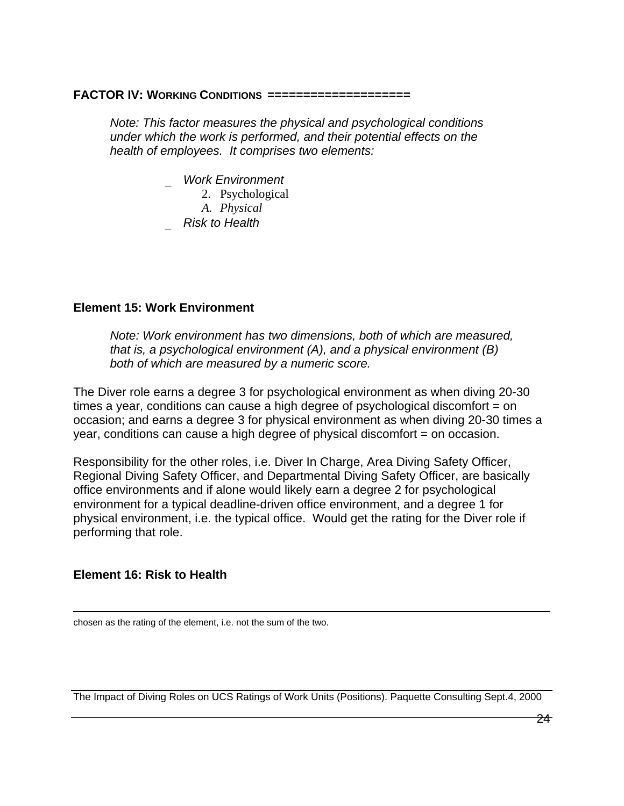#### **FACTOR IV: WORKING CONDITIONS ====================**

*Note: This factor measures the physical and psychological conditions under which the work is performed, and their potential effects on the health of employees. It comprises two elements:* 

\_ *Work Environment* 

- 2. Psychological
- *A. Physical*
- \_ *Risk to Health*

#### **Element 15: Work Environment**

*Note: Work environment has two dimensions, both of which are measured, that is, a psychological environment (A), and a physical environment (B) both of which are measured by a numeric score.* 

The Diver role earns a degree 3 for psychological environment as when diving 20-30 times a year, conditions can cause a high degree of psychological discomfort  $=$  on occasion; and earns a degree 3 for physical environment as when diving 20-30 times a year, conditions can cause a high degree of physical discomfort = on occasion.

Responsibility for the other roles, i.e. Diver In Charge, Area Diving Safety Officer, Regional Diving Safety Officer, and Departmental Diving Safety Officer, are basically office environments and if alone would likely earn a degree 2 for psychological environment for a typical deadline-driven office environment, and a degree 1 for physical environment, i.e. the typical office. Would get the rating for the Diver role if performing that role.

#### **Element 16: Risk to Health**

 $\overline{a}$ 

chosen as the rating of the element, i.e. not the sum of the two.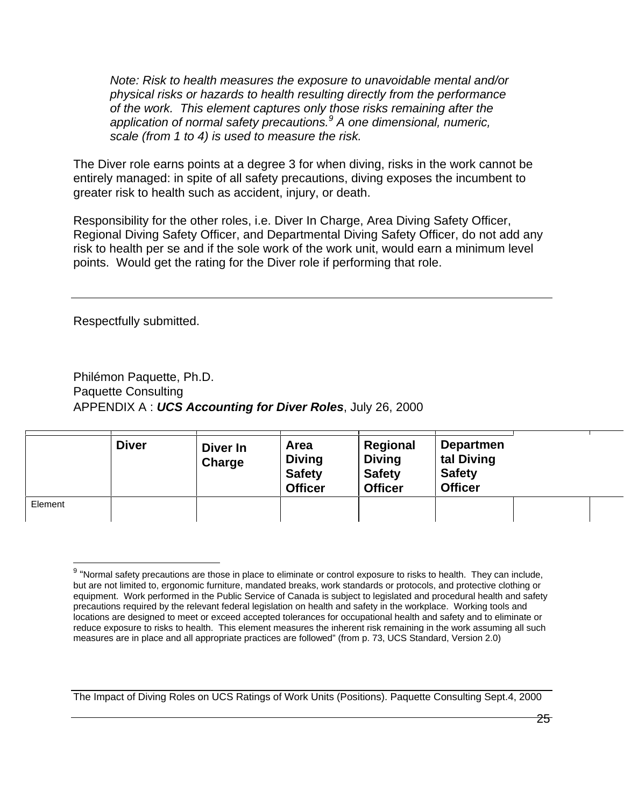*Note: Risk to health measures the exposure to unavoidable mental and/or physical risks or hazards to health resulting directly from the performance of the work. This element captures only those risks remaining after the application of normal safety precautions.<sup>9</sup> A one dimensional, numeric, scale (from 1 to 4) is used to measure the risk.* 

The Diver role earns points at a degree 3 for when diving, risks in the work cannot be entirely managed: in spite of all safety precautions, diving exposes the incumbent to greater risk to health such as accident, injury, or death.

Responsibility for the other roles, i.e. Diver In Charge, Area Diving Safety Officer, Regional Diving Safety Officer, and Departmental Diving Safety Officer, do not add any risk to health per se and if the sole work of the work unit, would earn a minimum level points. Would get the rating for the Diver role if performing that role.

Respectfully submitted.

 $\overline{a}$ 

Philémon Paquette, Ph.D. Paquette Consulting APPENDIX A : *UCS Accounting for Diver Roles*, July 26, 2000

|         | <b>Diver</b> | Diver In<br>Charge | <b>Area</b><br><b>Diving</b><br><b>Safety</b><br><b>Officer</b> | Regional<br><b>Diving</b><br><b>Safety</b><br><b>Officer</b> | <b>Departmen</b><br>tal Diving<br><b>Safety</b><br><b>Officer</b> |  |
|---------|--------------|--------------------|-----------------------------------------------------------------|--------------------------------------------------------------|-------------------------------------------------------------------|--|
| Element |              |                    |                                                                 |                                                              |                                                                   |  |

<sup>&</sup>lt;sup>9</sup> "Normal safety precautions are those in place to eliminate or control exposure to risks to health. They can include, but are not limited to, ergonomic furniture, mandated breaks, work standards or protocols, and protective clothing or equipment. Work performed in the Public Service of Canada is subject to legislated and procedural health and safety precautions required by the relevant federal legislation on health and safety in the workplace. Working tools and locations are designed to meet or exceed accepted tolerances for occupational health and safety and to eliminate or reduce exposure to risks to health. This element measures the inherent risk remaining in the work assuming all such measures are in place and all appropriate practices are followed" (from p. 73, UCS Standard, Version 2.0)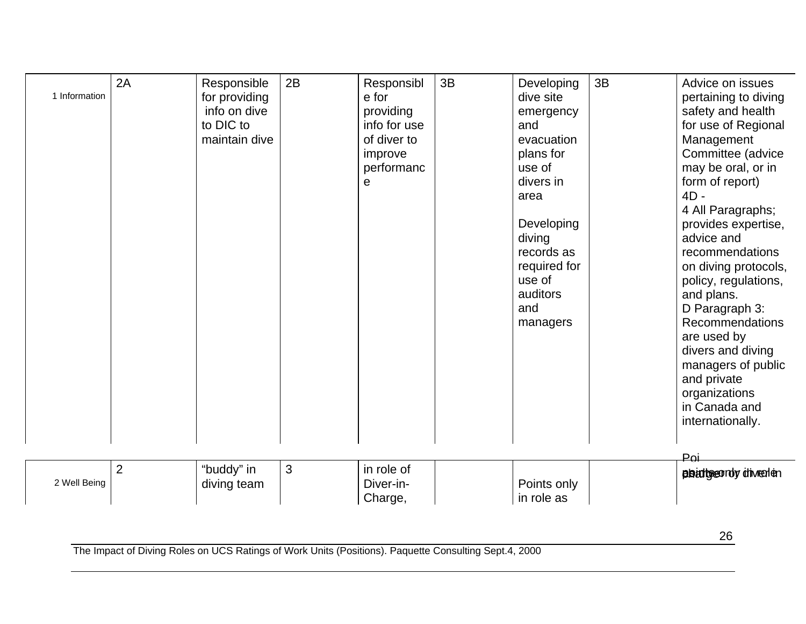| 1 Information | 2A             | Responsible<br>for providing<br>info on dive<br>to DIC to<br>maintain dive | 2B | Responsibl<br>e for<br>providing<br>info for use<br>of diver to<br>improve<br>performanc<br>e | 3B | Developing<br>dive site<br>emergency<br>and<br>evacuation<br>plans for<br>use of<br>divers in<br>area<br>Developing<br>diving<br>records as<br>required for<br>use of<br>auditors<br>and<br>managers | 3B | Advice on issues<br>pertaining to diving<br>safety and health<br>for use of Regional<br>Management<br>Committee (advice<br>may be oral, or in<br>form of report)<br>$4D -$<br>4 All Paragraphs;<br>provides expertise,<br>advice and<br>recommendations<br>on diving protocols,<br>policy, regulations,<br>and plans.<br>D Paragraph 3:<br><b>Recommendations</b><br>are used by<br>divers and diving<br>managers of public<br>and private<br>organizations<br>in Canada and<br>internationally.<br>Poi |
|---------------|----------------|----------------------------------------------------------------------------|----|-----------------------------------------------------------------------------------------------|----|------------------------------------------------------------------------------------------------------------------------------------------------------------------------------------------------------|----|---------------------------------------------------------------------------------------------------------------------------------------------------------------------------------------------------------------------------------------------------------------------------------------------------------------------------------------------------------------------------------------------------------------------------------------------------------------------------------------------------------|
| 2 Well Being  | $\overline{2}$ | "buddy" in<br>diving team                                                  | 3  | in role of<br>Diver-in-<br>Charge,                                                            |    | Points only<br>in role as                                                                                                                                                                            |    | plaatteordy diverlen                                                                                                                                                                                                                                                                                                                                                                                                                                                                                    |
|               |                |                                                                            |    |                                                                                               |    |                                                                                                                                                                                                      |    | 26                                                                                                                                                                                                                                                                                                                                                                                                                                                                                                      |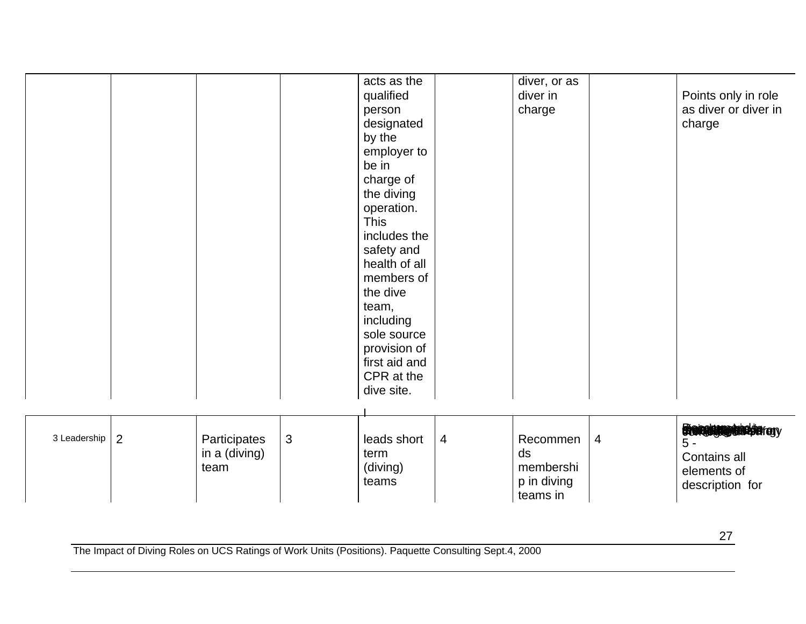|              |   |                                       |                | acts as the<br>qualified<br>person<br>designated<br>by the<br>employer to<br>be in<br>charge of<br>the diving<br>operation.<br>This<br>includes the<br>safety and<br>health of all<br>members of<br>the dive<br>team,<br>including<br>sole source<br>provision of<br>first aid and<br>CPR at the<br>dive site. |                | diver, or as<br>diver in<br>charge                     |   | Points only in role<br>as diver or diver in<br>charge                               |
|--------------|---|---------------------------------------|----------------|----------------------------------------------------------------------------------------------------------------------------------------------------------------------------------------------------------------------------------------------------------------------------------------------------------------|----------------|--------------------------------------------------------|---|-------------------------------------------------------------------------------------|
| 3 Leadership | 2 | Participates<br>in a (diving)<br>team | $\mathfrak{S}$ | leads short<br>term<br>(diving)<br>teams                                                                                                                                                                                                                                                                       | $\overline{4}$ | Recommen<br>ds<br>membershi<br>p in diving<br>teams in | 4 | Biornald Contains for ey<br>$5 -$<br>Contains all<br>elements of<br>description for |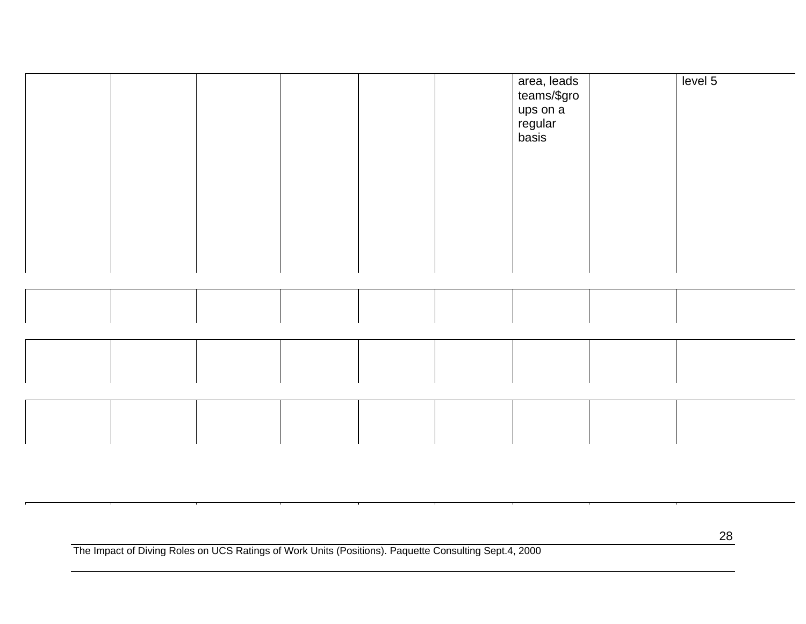|  |  |  | area, leads<br>teams/\$gro<br>ups on a<br>regular<br>basis | level <sub>5</sub> |
|--|--|--|------------------------------------------------------------|--------------------|
|  |  |  |                                                            |                    |
|  |  |  |                                                            |                    |
|  |  |  |                                                            |                    |
|  |  |  |                                                            |                    |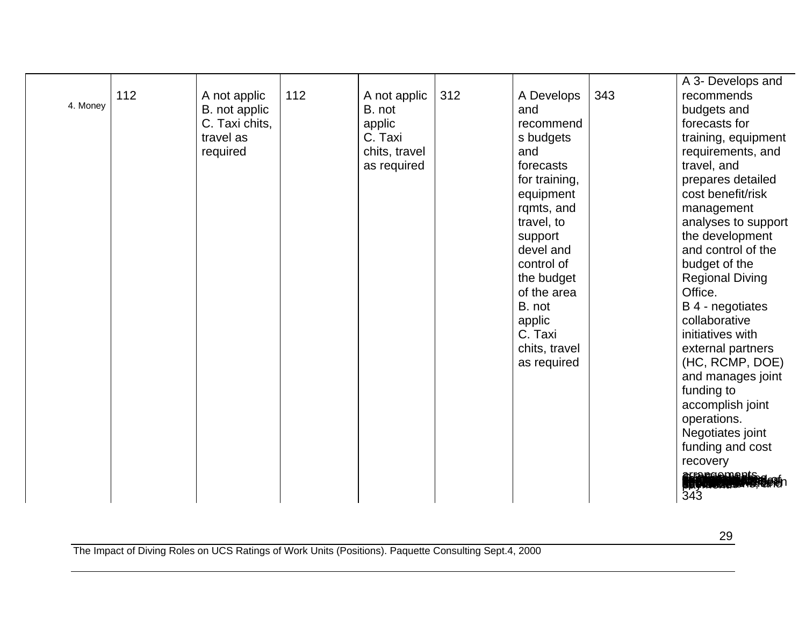| 4. Money | 112 | A not applic<br>B. not applic<br>C. Taxi chits,<br>travel as<br>required | 112 | A not applic<br>B. not<br>applic<br>C. Taxi<br>chits, travel<br>as required | 312 | A Develops<br>and<br>recommend<br>s budgets<br>and<br>forecasts<br>for training,<br>equipment<br>rqmts, and<br>travel, to<br>support<br>devel and<br>control of<br>the budget<br>of the area<br>B. not<br>applic<br>C. Taxi<br>chits, travel<br>as required | 343 | A 3- Develops and<br>recommends<br>budgets and<br>forecasts for<br>training, equipment<br>requirements, and<br>travel, and<br>prepares detailed<br>cost benefit/risk<br>management<br>analyses to support<br>the development<br>and control of the<br>budget of the<br><b>Regional Diving</b><br>Office.<br>B 4 - negotiates<br>collaborative<br>initiatives with<br>external partners<br>(HC, RCMP, DOE)<br>and manages joint<br>funding to<br>accomplish joint<br>operations.<br>Negotiates joint<br>funding and cost<br>recovery<br>armonements |
|----------|-----|--------------------------------------------------------------------------|-----|-----------------------------------------------------------------------------|-----|-------------------------------------------------------------------------------------------------------------------------------------------------------------------------------------------------------------------------------------------------------------|-----|----------------------------------------------------------------------------------------------------------------------------------------------------------------------------------------------------------------------------------------------------------------------------------------------------------------------------------------------------------------------------------------------------------------------------------------------------------------------------------------------------------------------------------------------------|
|----------|-----|--------------------------------------------------------------------------|-----|-----------------------------------------------------------------------------|-----|-------------------------------------------------------------------------------------------------------------------------------------------------------------------------------------------------------------------------------------------------------------|-----|----------------------------------------------------------------------------------------------------------------------------------------------------------------------------------------------------------------------------------------------------------------------------------------------------------------------------------------------------------------------------------------------------------------------------------------------------------------------------------------------------------------------------------------------------|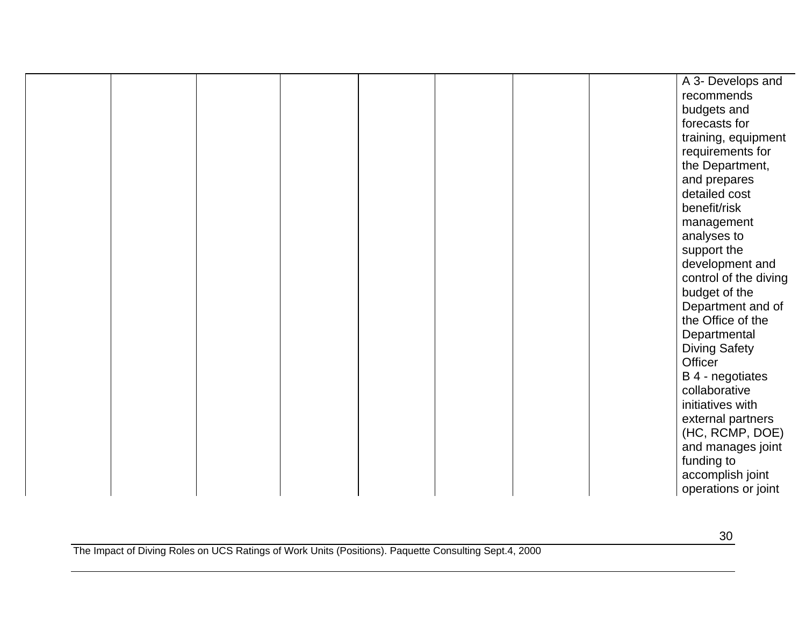|  |  |  |  | A 3- Develops and<br>recommends<br>budgets and<br>forecasts for<br>training, equipment<br>requirements for<br>the Department,<br>and prepares<br>detailed cost<br>benefit/risk<br>management<br>analyses to<br>support the<br>development and<br>control of the diving<br>budget of the<br>Department and of<br>the Office of the<br>Departmental<br><b>Diving Safety</b> |
|--|--|--|--|---------------------------------------------------------------------------------------------------------------------------------------------------------------------------------------------------------------------------------------------------------------------------------------------------------------------------------------------------------------------------|
|  |  |  |  |                                                                                                                                                                                                                                                                                                                                                                           |
|  |  |  |  |                                                                                                                                                                                                                                                                                                                                                                           |
|  |  |  |  |                                                                                                                                                                                                                                                                                                                                                                           |
|  |  |  |  |                                                                                                                                                                                                                                                                                                                                                                           |
|  |  |  |  |                                                                                                                                                                                                                                                                                                                                                                           |
|  |  |  |  |                                                                                                                                                                                                                                                                                                                                                                           |
|  |  |  |  |                                                                                                                                                                                                                                                                                                                                                                           |
|  |  |  |  |                                                                                                                                                                                                                                                                                                                                                                           |
|  |  |  |  |                                                                                                                                                                                                                                                                                                                                                                           |
|  |  |  |  |                                                                                                                                                                                                                                                                                                                                                                           |
|  |  |  |  | Officer                                                                                                                                                                                                                                                                                                                                                                   |
|  |  |  |  | B 4 - negotiates                                                                                                                                                                                                                                                                                                                                                          |
|  |  |  |  | collaborative                                                                                                                                                                                                                                                                                                                                                             |
|  |  |  |  | initiatives with                                                                                                                                                                                                                                                                                                                                                          |
|  |  |  |  | external partners                                                                                                                                                                                                                                                                                                                                                         |
|  |  |  |  | (HC, RCMP, DOE)                                                                                                                                                                                                                                                                                                                                                           |
|  |  |  |  | and manages joint                                                                                                                                                                                                                                                                                                                                                         |
|  |  |  |  | funding to                                                                                                                                                                                                                                                                                                                                                                |
|  |  |  |  | accomplish joint                                                                                                                                                                                                                                                                                                                                                          |
|  |  |  |  | operations or joint                                                                                                                                                                                                                                                                                                                                                       |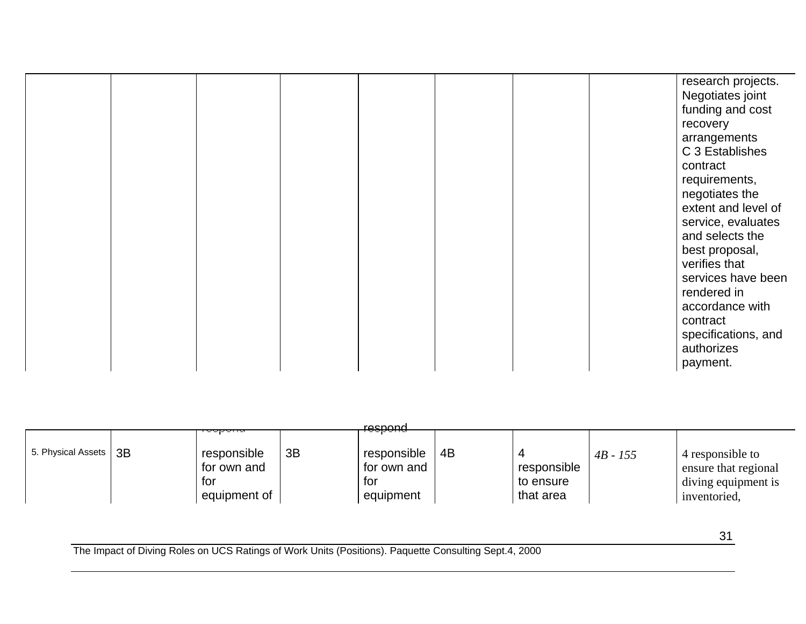|                    |    |                                                                        |    | <u>respond</u>                                 |    |                                       |            |                                                                                 |
|--------------------|----|------------------------------------------------------------------------|----|------------------------------------------------|----|---------------------------------------|------------|---------------------------------------------------------------------------------|
| 5. Physical Assets | 3B | <del>.coron</del><br>responsible<br>for own and<br>tor<br>equipment of | 3B | responsible<br>for own and<br>tor<br>equipment | 4B | responsible<br>to ensure<br>that area | $4B - 155$ | 4 responsible to<br>ensure that regional<br>diving equipment is<br>inventoried, |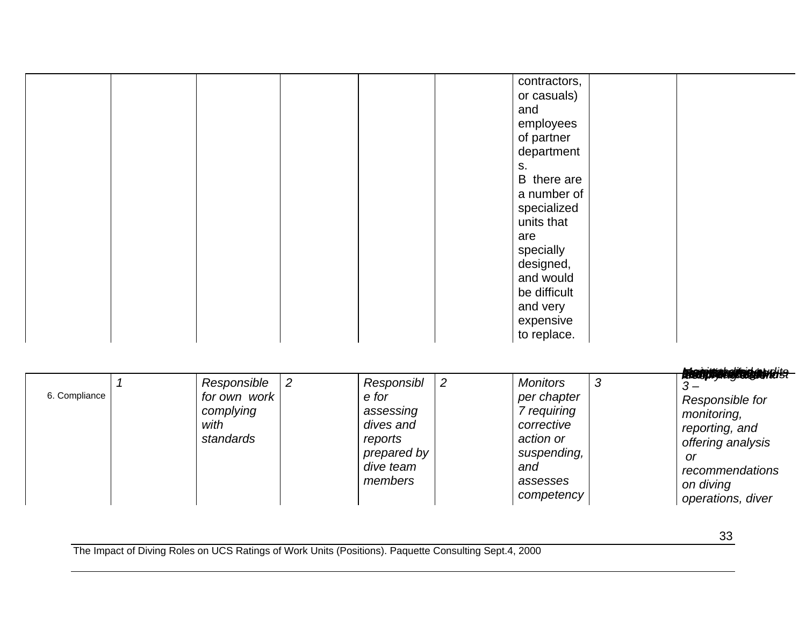|               |              |                                                               |                |                                                                                                 |                | contractors,<br>or casuals)<br>and<br>employees<br>of partner<br>department<br>S.<br>B there are<br>a number of<br>specialized<br>units that<br>are<br>specially<br>designed,<br>and would<br>be difficult<br>and very<br>expensive<br>to replace. |               |                                                                                                                                                                                               |
|---------------|--------------|---------------------------------------------------------------|----------------|-------------------------------------------------------------------------------------------------|----------------|----------------------------------------------------------------------------------------------------------------------------------------------------------------------------------------------------------------------------------------------------|---------------|-----------------------------------------------------------------------------------------------------------------------------------------------------------------------------------------------|
| 6. Compliance | $\mathcal I$ | Responsible<br>for own work<br>complying<br>with<br>standards | $\overline{2}$ | Responsibl<br>e for<br>assessing<br>dives and<br>reports<br>prepared by<br>dive team<br>members | $\overline{2}$ | <b>Monitors</b><br>per chapter<br>7 requiring<br>corrective<br>action or<br>suspending,<br>and<br>assesses<br>competency                                                                                                                           | $\mathcal{S}$ | <b>BROUT IN MORAL CONDUCTS</b><br>$\overline{3}$ –<br>Responsible for<br>monitoring,<br>reporting, and<br>offering analysis<br><b>or</b><br>recommendations<br>on diving<br>operations, diver |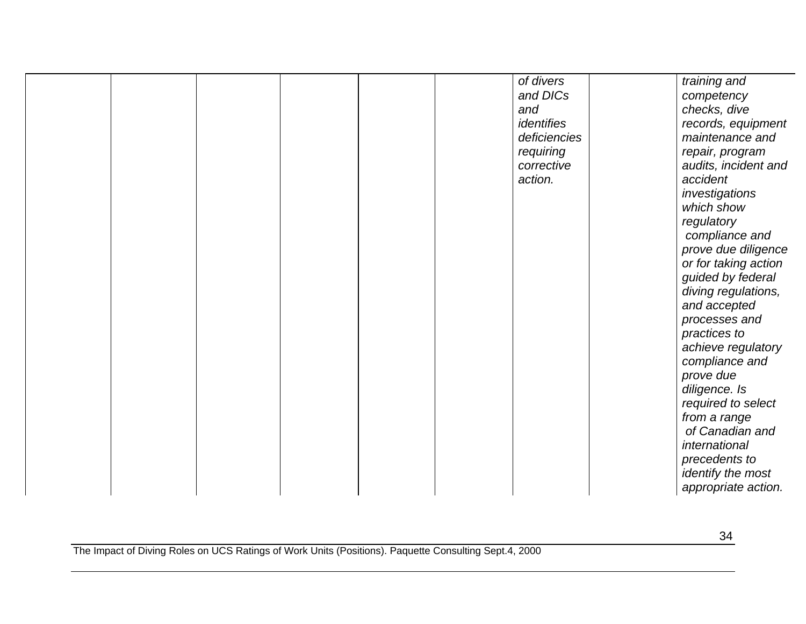|  |  |  |  |  |  | of divers<br>and DICs<br>and<br>identifies<br>deficiencies<br>requiring<br>corrective<br>action. |  | training and<br>competency<br>checks, dive<br>records, equipment<br>maintenance and<br>repair, program<br>audits, incident and<br>accident<br>investigations<br>which show<br>regulatory<br>compliance and<br>prove due diligence<br>or for taking action<br>guided by federal<br>diving regulations,<br>and accepted<br>processes and<br>practices to<br>achieve regulatory<br>compliance and<br>prove due<br>diligence. Is<br>required to select<br>from a range<br>of Canadian and<br>international<br>precedents to<br>identify the most<br>appropriate action. |
|--|--|--|--|--|--|--------------------------------------------------------------------------------------------------|--|---------------------------------------------------------------------------------------------------------------------------------------------------------------------------------------------------------------------------------------------------------------------------------------------------------------------------------------------------------------------------------------------------------------------------------------------------------------------------------------------------------------------------------------------------------------------|
|--|--|--|--|--|--|--------------------------------------------------------------------------------------------------|--|---------------------------------------------------------------------------------------------------------------------------------------------------------------------------------------------------------------------------------------------------------------------------------------------------------------------------------------------------------------------------------------------------------------------------------------------------------------------------------------------------------------------------------------------------------------------|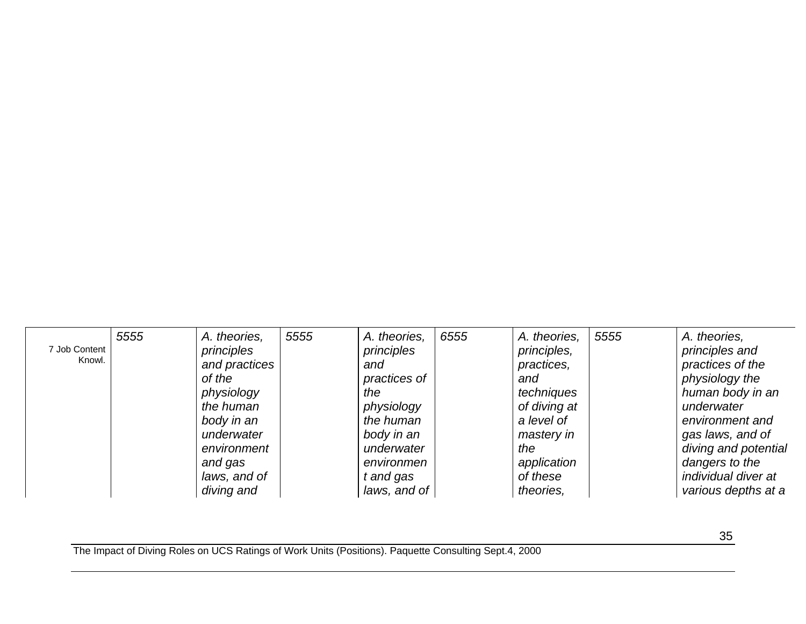| 7 Job Content<br>Knowl. | 5555 | A. theories,<br>principles<br>and practices<br>of the<br>physiology<br>the human<br>body in an<br>underwater<br>environment<br>and gas | 5555 | A. theories,<br>principles<br>and<br>practices of<br>the<br>physiology<br>the human<br>body in an<br>underwater<br>environmen | 6555 | A. theories,<br>principles,<br>practices,<br>and<br>techniques<br>of diving at<br>a level of<br>mastery in<br>the<br>application | 5555 | A. theories,<br>principles and<br>practices of the<br>physiology the<br>human body in an<br>underwater<br>environment and<br>gas laws, and of<br>diving and potential<br>dangers to the |
|-------------------------|------|----------------------------------------------------------------------------------------------------------------------------------------|------|-------------------------------------------------------------------------------------------------------------------------------|------|----------------------------------------------------------------------------------------------------------------------------------|------|-----------------------------------------------------------------------------------------------------------------------------------------------------------------------------------------|
|                         |      | laws, and of<br>diving and                                                                                                             |      | t and gas<br>laws, and of                                                                                                     |      | of these<br>theories,                                                                                                            |      | <i>individual diver at</i><br>various depths at a                                                                                                                                       |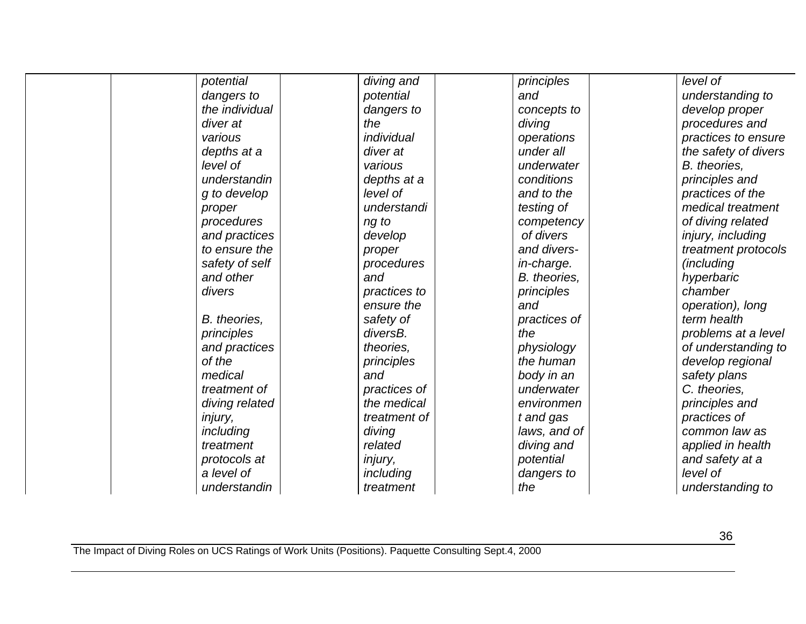| potential      | diving and     | principles   | level of             |  |
|----------------|----------------|--------------|----------------------|--|
| dangers to     | potential      | and          | understanding to     |  |
| the individual | dangers to     | concepts to  | develop proper       |  |
| diver at       | the            | diving       | procedures and       |  |
| various        | individual     | operations   | practices to ensure  |  |
| depths at a    | diver at       | under all    | the safety of divers |  |
| level of       | various        | underwater   | B. theories,         |  |
| understandin   | depths at a    | conditions   | principles and       |  |
| g to develop   | level of       | and to the   | practices of the     |  |
| proper         | understandi    | testing of   | medical treatment    |  |
| procedures     | ng to          | competency   | of diving related    |  |
| and practices  | develop        | of divers    | injury, including    |  |
| to ensure the  | proper         | and divers-  | treatment protocols  |  |
| safety of self | procedures     | in-charge.   | <i>(including</i>    |  |
| and other      | and            | B. theories, | hyperbaric           |  |
| divers         | practices to   | principles   | chamber              |  |
|                | ensure the     | and          | operation), long     |  |
| B. theories,   | safety of      | practices of | term health          |  |
| principles     | diversB.       | the          | problems at a level  |  |
| and practices  | theories.      | physiology   | of understanding to  |  |
| of the         | principles     | the human    | develop regional     |  |
| medical        | and            | body in an   | safety plans         |  |
| treatment of   | practices of   | underwater   | C. theories,         |  |
| diving related | the medical    | environmen   | principles and       |  |
| injury,        | treatment of   | t and gas    | practices of         |  |
| including      | diving         | laws, and of | common law as        |  |
| treatment      | related        | diving and   | applied in health    |  |
| protocols at   | <i>injury,</i> | potential    | and safety at a      |  |
| a level of     | including      | dangers to   | level of             |  |
| understandin   | treatment      | the          | understanding to     |  |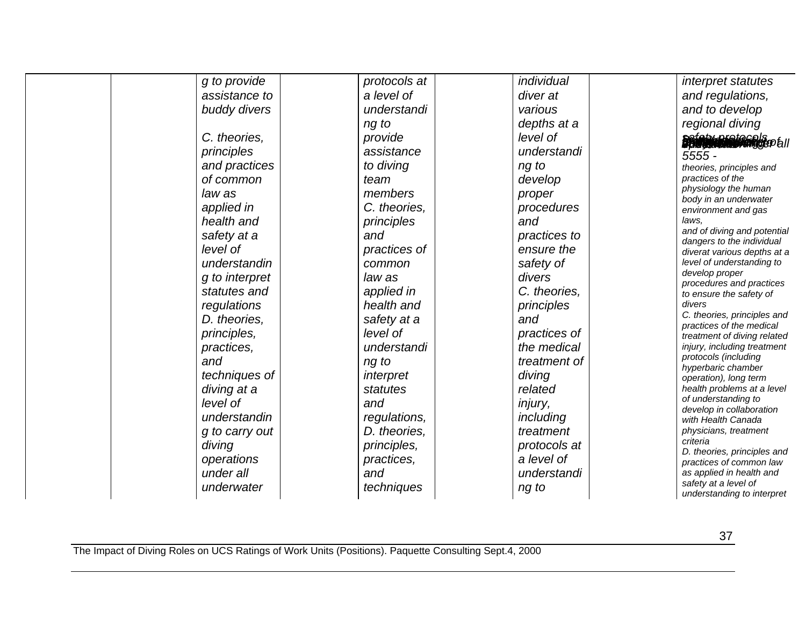| g to provide   | protocols at | individual   | interpret statutes                                       |
|----------------|--------------|--------------|----------------------------------------------------------|
| assistance to  | a level of   | diver at     | and regulations,                                         |
| buddy divers   | understandi  | various      | and to develop                                           |
|                | ng to        | depths at a  | regional diving                                          |
| C. theories.   | provide      | level of     | <b>Sefety protocols</b>                                  |
| principles     | assistance   | understandi  | $5555 -$                                                 |
| and practices  | to diving    | ng to        | theories, principles and                                 |
| of common      | team         | develop      | practices of the                                         |
| law as         | members      | proper       | physiology the human<br>body in an underwater            |
| applied in     | C. theories, | procedures   | environment and gas                                      |
| health and     | principles   | and          | laws.                                                    |
| safety at a    | and          | practices to | and of diving and potential<br>dangers to the individual |
| level of       | practices of | ensure the   | diverat various depths at a                              |
| understandin   | common       | safety of    | level of understanding to                                |
| g to interpret | law as       | divers       | develop proper<br>procedures and practices               |
| statutes and   | applied in   | C. theories, | to ensure the safety of                                  |
| regulations    | health and   | principles   | divers                                                   |
| D. theories.   | safety at a  | and          | C. theories, principles and<br>practices of the medical  |
| principles,    | level of     | practices of | treatment of diving related                              |
| practices,     | understandi  | the medical  | injury, including treatment                              |
| and            | ng to        | treatment of | protocols (including<br>hyperbaric chamber               |
| techniques of  | interpret    | diving       | operation), long term                                    |
| diving at a    | statutes     | related      | health problems at a level                               |
| level of       | and          | injury,      | of understanding to                                      |
| understandin   | regulations, | including    | develop in collaboration<br>with Health Canada           |
| g to carry out | D. theories, | treatment    | physicians, treatment                                    |
| diving         | principles,  | protocols at | criteria                                                 |
| operations     | practices,   | a level of   | D. theories, principles and<br>practices of common law   |
| under all      | and          | understandi  | as applied in health and                                 |
| underwater     | techniques   | ng to        | safety at a level of                                     |
|                |              |              | understanding to interpret                               |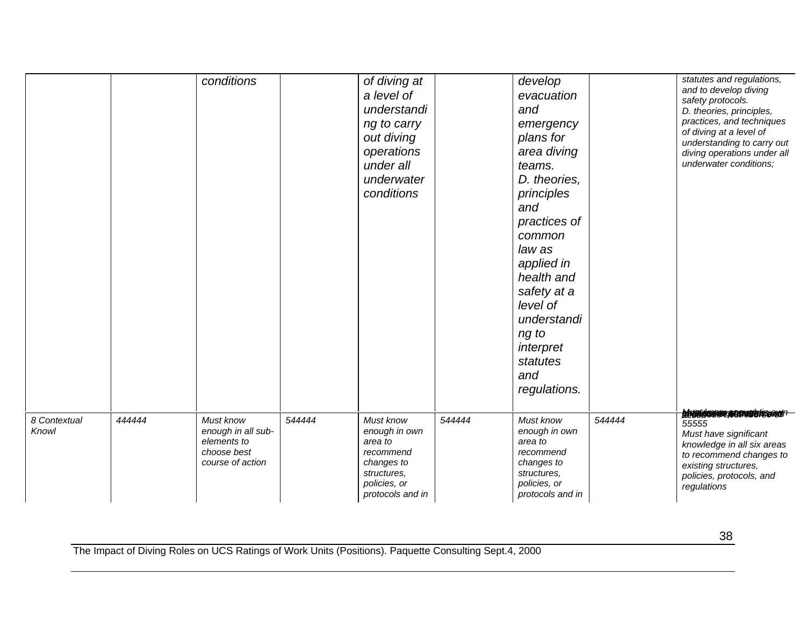|                       |        | conditions                                                                        |        | of diving at<br>a level of<br>understandi<br>ng to carry<br>out diving<br>operations<br>under all<br>underwater<br>conditions |        | develop<br>evacuation<br>and<br>emergency<br>plans for<br>area diving<br>teams.<br>D. theories,<br>principles<br>and<br>practices of<br>common<br>law as<br>applied in<br>health and<br>safety at a<br>level of<br>understandi<br>ng to<br>interpret<br>statutes<br>and<br>regulations. |        | statutes and regulations,<br>and to develop diving<br>safety protocols.<br>D. theories, principles,<br>practices, and techniques<br>of diving at a level of<br>understanding to carry out<br>diving operations under all<br>underwater conditions;<br>domidessurgeonarbiscom |
|-----------------------|--------|-----------------------------------------------------------------------------------|--------|-------------------------------------------------------------------------------------------------------------------------------|--------|-----------------------------------------------------------------------------------------------------------------------------------------------------------------------------------------------------------------------------------------------------------------------------------------|--------|------------------------------------------------------------------------------------------------------------------------------------------------------------------------------------------------------------------------------------------------------------------------------|
| 8 Contextual<br>Knowl | 444444 | Must know<br>enough in all sub-<br>elements to<br>choose best<br>course of action | 544444 | Must know<br>enough in own<br>area to<br>recommend<br>changes to<br>structures.<br>policies, or<br>protocols and in           | 544444 | Must know<br>enough in own<br>area to<br>recommend<br>changes to<br>structures.<br>policies, or<br>protocols and in                                                                                                                                                                     | 544444 | 55555<br>Must have significant<br>knowledge in all six areas<br>to recommend changes to<br>existing structures,<br>policies, protocols, and<br>regulations                                                                                                                   |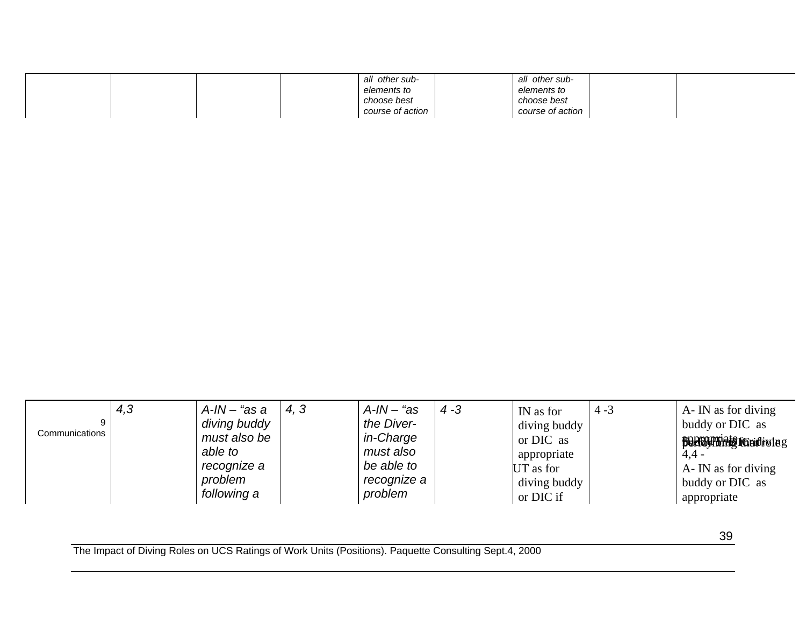|  | other sub-<br>all | all<br>other sub- |  |
|--|-------------------|-------------------|--|
|  | elements to       | elements to       |  |
|  | choose best       | choose best       |  |
|  | course of action  | course of action  |  |

|                | 4,3 | A-IN – "as a                 | 4, 3 | $A$ -IN – "as           | $4 - 3$ | IN as for                 | $4 - 3$ | A- IN as for diving                            |
|----------------|-----|------------------------------|------|-------------------------|---------|---------------------------|---------|------------------------------------------------|
| Communications |     | diving buddy<br>must also be |      | the Diver-<br>in-Charge |         | diving buddy<br>or DIC as |         | buddy or DIC as<br><b>BORGAPHES Routlivleg</b> |
|                |     | able to<br>recognize a       |      | must also<br>be able to |         | appropriate<br>UT as for  |         | 4.4<br>A- IN as for diving                     |
|                |     | problem<br>following a       |      | recognize a<br>problem  |         | diving buddy<br>or DIC if |         | buddy or DIC as<br>appropriate                 |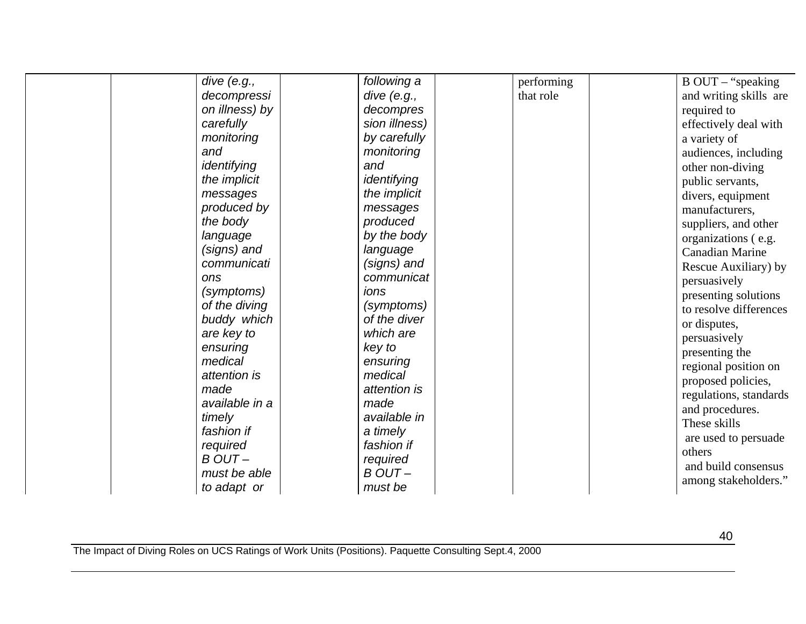| dive $(e.g.,$  | following a   | performing | $B$ OUT – "speaking"   |
|----------------|---------------|------------|------------------------|
| decompressi    | dive $(e.g.,$ | that role  | and writing skills are |
| on illness) by | decompres     |            | required to            |
| carefully      | sion illness) |            | effectively deal with  |
| monitoring     | by carefully  |            | a variety of           |
| and            | monitoring    |            | audiences, including   |
| identifying    | and           |            | other non-diving       |
| the implicit   | identifying   |            | public servants,       |
| messages       | the implicit  |            | divers, equipment      |
| produced by    | messages      |            | manufacturers,         |
| the body       | produced      |            | suppliers, and other   |
| language       | by the body   |            | organizations (e.g.    |
| (signs) and    | language      |            | <b>Canadian Marine</b> |
| communicati    | (signs) and   |            | Rescue Auxiliary) by   |
| ons            | communicat    |            | persuasively           |
| (symptoms)     | ions          |            | presenting solutions   |
| of the diving  | (symptoms)    |            | to resolve differences |
| buddy which    | of the diver  |            | or disputes,           |
| are key to     | which are     |            | persuasively           |
| ensuring       | key to        |            | presenting the         |
| medical        | ensuring      |            | regional position on   |
| attention is   | medical       |            | proposed policies,     |
| made           | attention is  |            | regulations, standards |
| available in a | made          |            | and procedures.        |
| timely         | available in  |            | These skills           |
| fashion if     | a timely      |            | are used to persuade   |
| required       | fashion if    |            | others                 |
| $B$ OUT $-$    | required      |            | and build consensus    |
| must be able   | $B$ OUT $-$   |            | among stakeholders."   |
| to adapt or    | must be       |            |                        |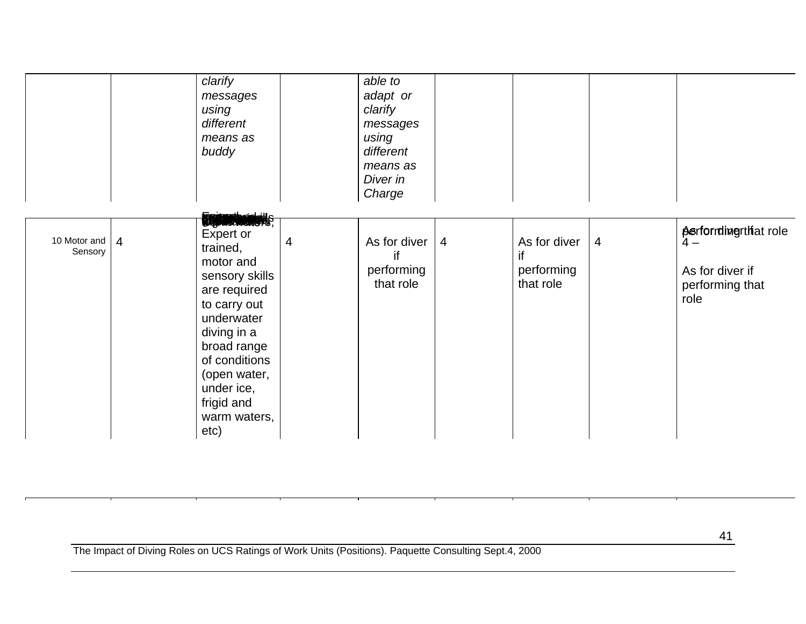|                         |                | clarify<br>messages<br>using<br>different<br>means as<br>buddy                                                                                                                                                                                   |   | able to<br>adapt or<br>clarify<br>messages<br>using<br>different<br>means as<br>Diver in<br>Charge |                |                                               |                          |                                                                                  |
|-------------------------|----------------|--------------------------------------------------------------------------------------------------------------------------------------------------------------------------------------------------------------------------------------------------|---|----------------------------------------------------------------------------------------------------|----------------|-----------------------------------------------|--------------------------|----------------------------------------------------------------------------------|
| 10 Motor and<br>Sensory | $\overline{4}$ | <b>Engineering of S</b><br>Expert or<br>trained,<br>motor and<br>sensory skills<br>are required<br>to carry out<br>underwater<br>diving in a<br>broad range<br>of conditions<br>(open water,<br>under ice,<br>frigid and<br>warm waters,<br>etc) | 4 | As for diver<br>if<br>performing<br>that role                                                      | $\overline{4}$ | As for diver<br>if<br>performing<br>that role | $\overline{\mathcal{A}}$ | <b>Astformingthat role</b><br>$4-$<br>As for diver if<br>performing that<br>role |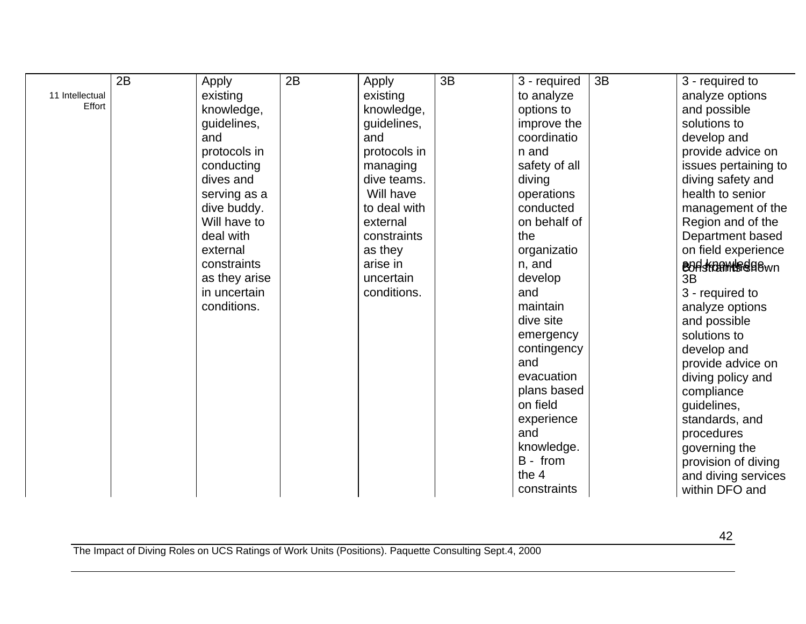| 11 Intellectual<br>Effort | 2B | Apply<br>existing<br>knowledge,<br>guidelines,<br>and<br>protocols in  | 2B | Apply<br>existing<br>knowledge,<br>guidelines,<br>and<br>protocols in | 3B | 3 - required<br>to analyze<br>options to<br>improve the<br>coordinatio<br>n and | 3B | 3 - required to<br>analyze options<br>and possible<br>solutions to<br>develop and<br>provide advice on  |
|---------------------------|----|------------------------------------------------------------------------|----|-----------------------------------------------------------------------|----|---------------------------------------------------------------------------------|----|---------------------------------------------------------------------------------------------------------|
|                           |    | conducting<br>dives and<br>serving as a<br>dive buddy.<br>Will have to |    | managing<br>dive teams.<br>Will have<br>to deal with<br>external      |    | safety of all<br>diving<br>operations<br>conducted<br>on behalf of              |    | issues pertaining to<br>diving safety and<br>health to senior<br>management of the<br>Region and of the |
|                           |    | deal with<br>external<br>constraints<br>as they arise<br>in uncertain  |    | constraints<br>as they<br>arise in<br>uncertain<br>conditions.        |    | the<br>organizatio<br>n, and<br>develop<br>and                                  |    | Department based<br>on field experience<br><b>BOASKDAMUSSB6wn</b><br>3B<br>3 - required to              |
|                           |    | conditions.                                                            |    |                                                                       |    | maintain<br>dive site<br>emergency<br>contingency<br>and                        |    | analyze options<br>and possible<br>solutions to<br>develop and<br>provide advice on                     |
|                           |    |                                                                        |    |                                                                       |    | evacuation<br>plans based<br>on field<br>experience<br>and                      |    | diving policy and<br>compliance<br>guidelines,<br>standards, and<br>procedures                          |
|                           |    |                                                                        |    |                                                                       |    | knowledge.<br>B - from<br>the 4<br>constraints                                  |    | governing the<br>provision of diving<br>and diving services<br>within DFO and                           |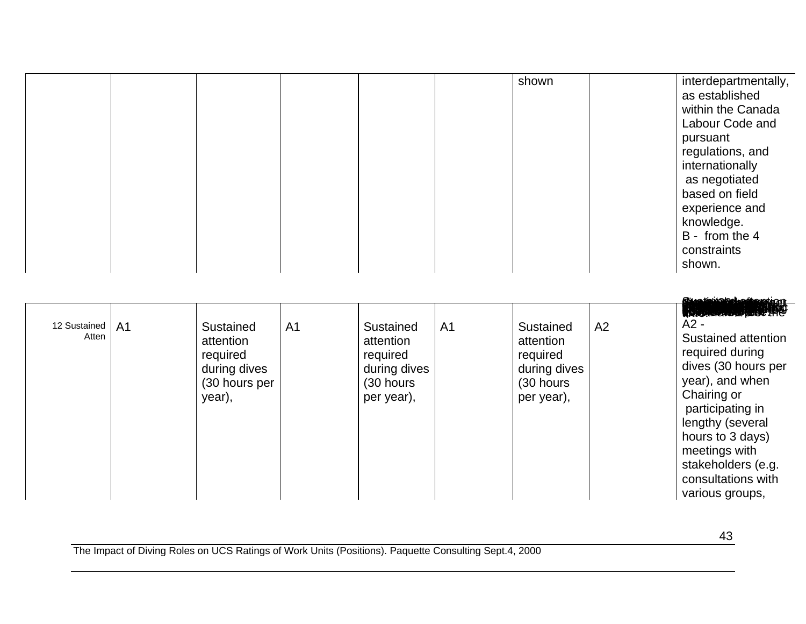|  | shown | interdepartmentally,<br>as established<br>within the Canada<br>Labour Code and<br>pursuant<br>regulations, and<br>internationally<br>as negotiated<br>based on field<br>experience and<br>knowledge.<br>B - from the 4<br>constraints<br>shown. |
|--|-------|-------------------------------------------------------------------------------------------------------------------------------------------------------------------------------------------------------------------------------------------------|
|--|-------|-------------------------------------------------------------------------------------------------------------------------------------------------------------------------------------------------------------------------------------------------|

| 12 Sustained   A1 | Sustained                                                        | A <sub>1</sub> | Sustained                                                        | A <sub>1</sub> | Sustained                                                         | A2 | <b>Austrial Medicini M</b><br><b>TANORADORES</b><br>$A2 -$                                                                                                                                                                                  |
|-------------------|------------------------------------------------------------------|----------------|------------------------------------------------------------------|----------------|-------------------------------------------------------------------|----|---------------------------------------------------------------------------------------------------------------------------------------------------------------------------------------------------------------------------------------------|
| Atten             | attention<br>required<br>during dives<br>(30 hours per<br>year), |                | attention<br>required<br>during dives<br>(30 hours<br>per year), |                | attention<br>required<br>during dives<br>(30 hours)<br>per year), |    | Sustained attention<br>required during<br>dives (30 hours per<br>year), and when<br>Chairing or<br>participating in<br>lengthy (several<br>hours to 3 days)<br>meetings with<br>stakeholders (e.g.<br>consultations with<br>various groups, |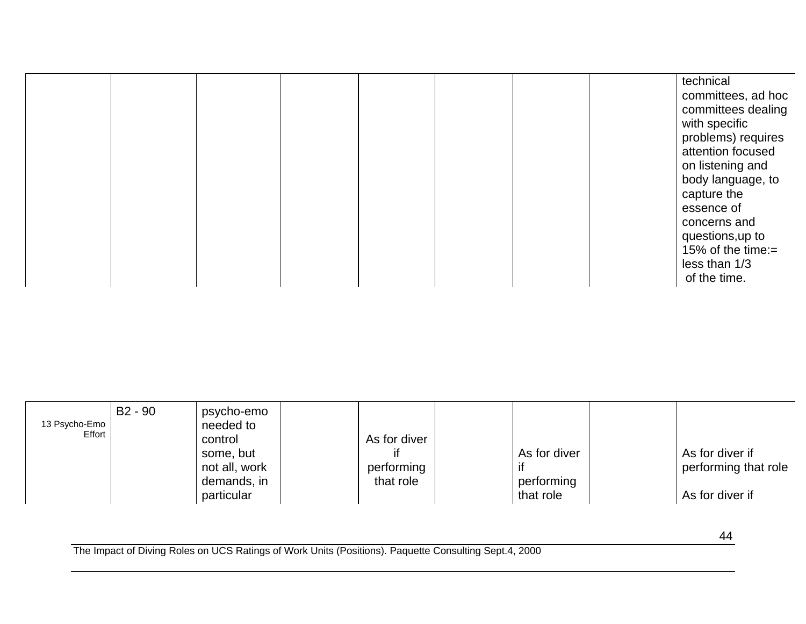|  |  |  |  |  |  |  |  | technical<br>committees, ad hoc<br>committees dealing<br>with specific<br>problems) requires<br>attention focused<br>on listening and<br>body language, to<br>capture the<br>essence of<br>concerns and<br>questions, up to<br>15% of the time: $=$<br>less than 1/3<br>of the time. |
|--|--|--|--|--|--|--|--|--------------------------------------------------------------------------------------------------------------------------------------------------------------------------------------------------------------------------------------------------------------------------------------|
|--|--|--|--|--|--|--|--|--------------------------------------------------------------------------------------------------------------------------------------------------------------------------------------------------------------------------------------------------------------------------------------|

| B2 - 90<br>psycho-emo<br>13 Psycho-Emo<br>needed to<br>Effort<br>control<br>some, but<br>not all, work<br>demands, in<br>particular | As for diver<br>performing<br>that role | As for diver<br>performing<br>that role | As for diver if<br>performing that role<br>As for diver if |
|-------------------------------------------------------------------------------------------------------------------------------------|-----------------------------------------|-----------------------------------------|------------------------------------------------------------|
|-------------------------------------------------------------------------------------------------------------------------------------|-----------------------------------------|-----------------------------------------|------------------------------------------------------------|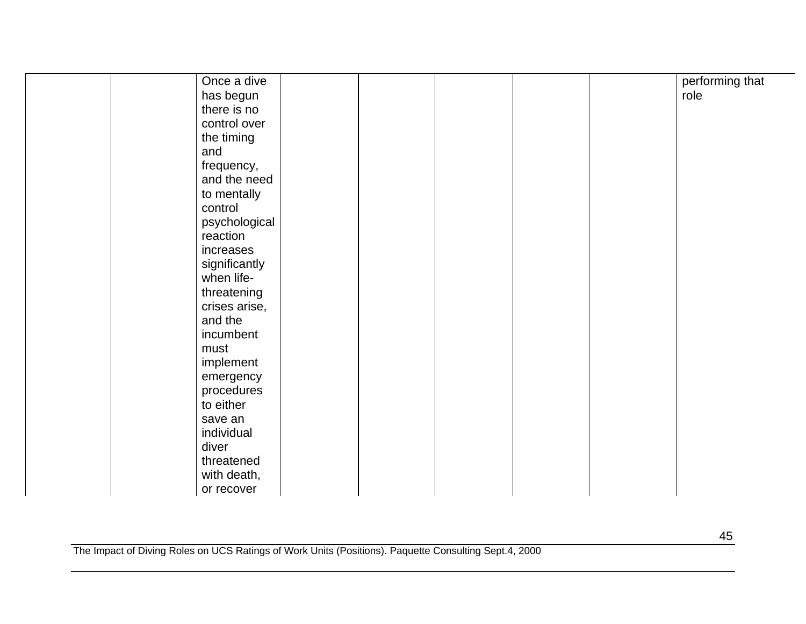| Once a dive   |  |  | performing that |
|---------------|--|--|-----------------|
| has begun     |  |  | role            |
| there is no   |  |  |                 |
| control over  |  |  |                 |
| the timing    |  |  |                 |
| and           |  |  |                 |
| frequency,    |  |  |                 |
| and the need  |  |  |                 |
| to mentally   |  |  |                 |
| control       |  |  |                 |
| psychological |  |  |                 |
| reaction      |  |  |                 |
| increases     |  |  |                 |
| significantly |  |  |                 |
| when life-    |  |  |                 |
| threatening   |  |  |                 |
| crises arise, |  |  |                 |
| and the       |  |  |                 |
| incumbent     |  |  |                 |
| must          |  |  |                 |
| implement     |  |  |                 |
| emergency     |  |  |                 |
| procedures    |  |  |                 |
| to either     |  |  |                 |
| save an       |  |  |                 |
| individual    |  |  |                 |
| diver         |  |  |                 |
| threatened    |  |  |                 |
| with death,   |  |  |                 |
| or recover    |  |  |                 |
|               |  |  |                 |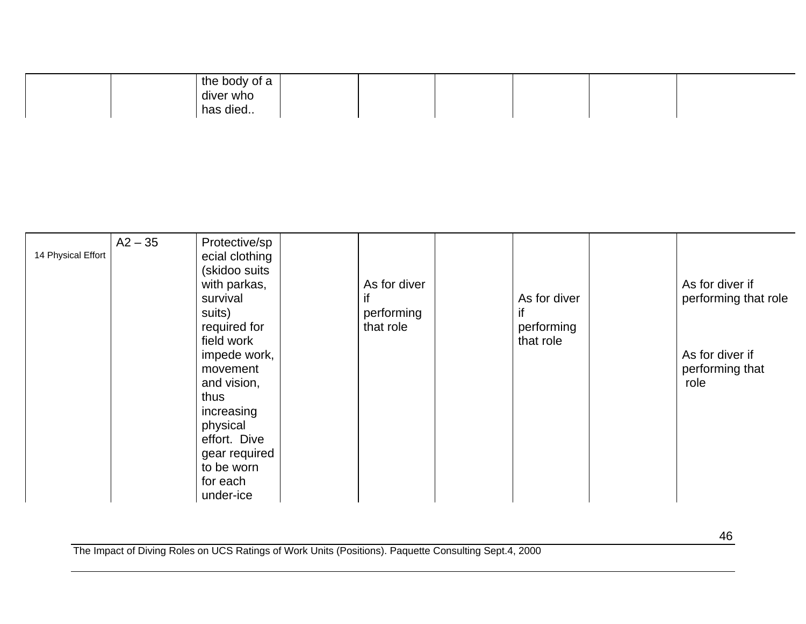| the body of a  |  |  |  |
|----------------|--|--|--|
| .<br>diver who |  |  |  |
| has died       |  |  |  |

| $A2 - 35$<br>Protective/sp<br>14 Physical Effort<br>ecial clothing<br>(skidoo suits<br>with parkas,<br>survival<br>suits)<br>required for<br>field work<br>impede work,<br>movement<br>and vision,<br>thus<br>increasing<br>physical<br>effort. Dive<br>gear required<br>to be worn<br>for each<br>under-ice | As for diver<br>if<br>performing<br>that role | As for diver<br>if<br>performing<br>that role | As for diver if<br>performing that role<br>As for diver if<br>performing that<br>role |
|--------------------------------------------------------------------------------------------------------------------------------------------------------------------------------------------------------------------------------------------------------------------------------------------------------------|-----------------------------------------------|-----------------------------------------------|---------------------------------------------------------------------------------------|
|--------------------------------------------------------------------------------------------------------------------------------------------------------------------------------------------------------------------------------------------------------------------------------------------------------------|-----------------------------------------------|-----------------------------------------------|---------------------------------------------------------------------------------------|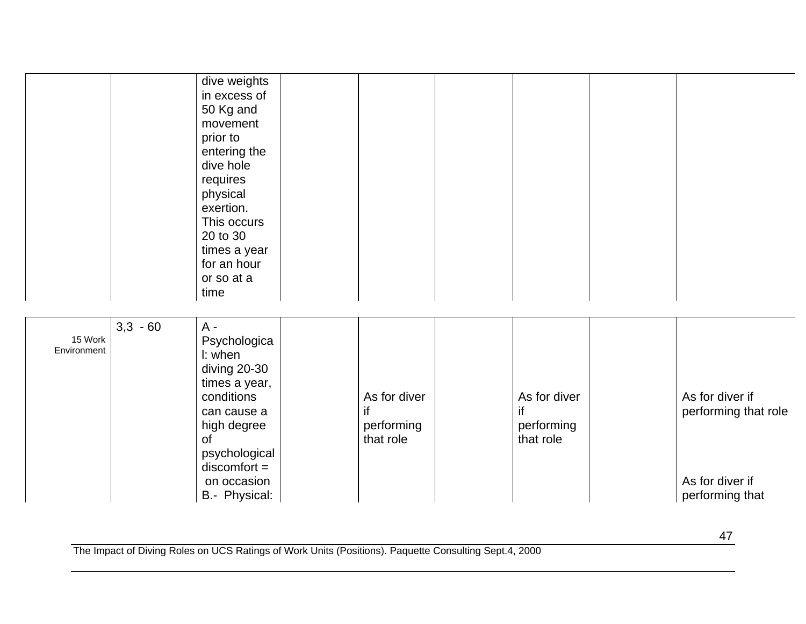|                        |            | dive weights<br>in excess of<br>50 Kg and<br>movement<br>prior to<br>entering the<br>dive hole<br>requires<br>physical<br>exertion.<br>This occurs<br>20 to 30<br>times a year<br>for an hour<br>or so at a<br>time |                                               |                                               |                                                                               |
|------------------------|------------|---------------------------------------------------------------------------------------------------------------------------------------------------------------------------------------------------------------------|-----------------------------------------------|-----------------------------------------------|-------------------------------------------------------------------------------|
| 15 Work<br>Environment | $3,3 - 60$ | $A -$<br>Psychologica<br>I: when<br>diving 20-30<br>times a year,<br>conditions<br>can cause a<br>high degree<br>of<br>psychological<br>$discomfort =$<br>on occasion<br>B.- Physical:                              | As for diver<br>if<br>performing<br>that role | As for diver<br>if<br>performing<br>that role | As for diver if<br>performing that role<br>As for diver if<br>performing that |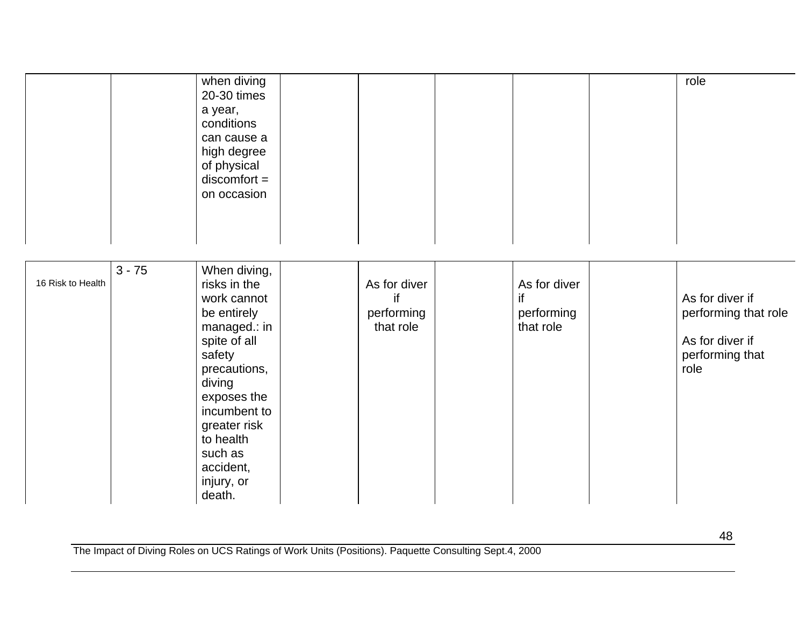|                   |          | when diving<br>20-30 times<br>a year,<br>conditions<br>can cause a<br>high degree<br>of physical<br>$discomfort =$<br>on occasion                                                                                                          |                                               |                                               | role                                                                                  |
|-------------------|----------|--------------------------------------------------------------------------------------------------------------------------------------------------------------------------------------------------------------------------------------------|-----------------------------------------------|-----------------------------------------------|---------------------------------------------------------------------------------------|
| 16 Risk to Health | $3 - 75$ | When diving,<br>risks in the<br>work cannot<br>be entirely<br>managed.: in<br>spite of all<br>safety<br>precautions,<br>diving<br>exposes the<br>incumbent to<br>greater risk<br>to health<br>such as<br>accident,<br>injury, or<br>death. | As for diver<br>if<br>performing<br>that role | As for diver<br>if<br>performing<br>that role | As for diver if<br>performing that role<br>As for diver if<br>performing that<br>role |